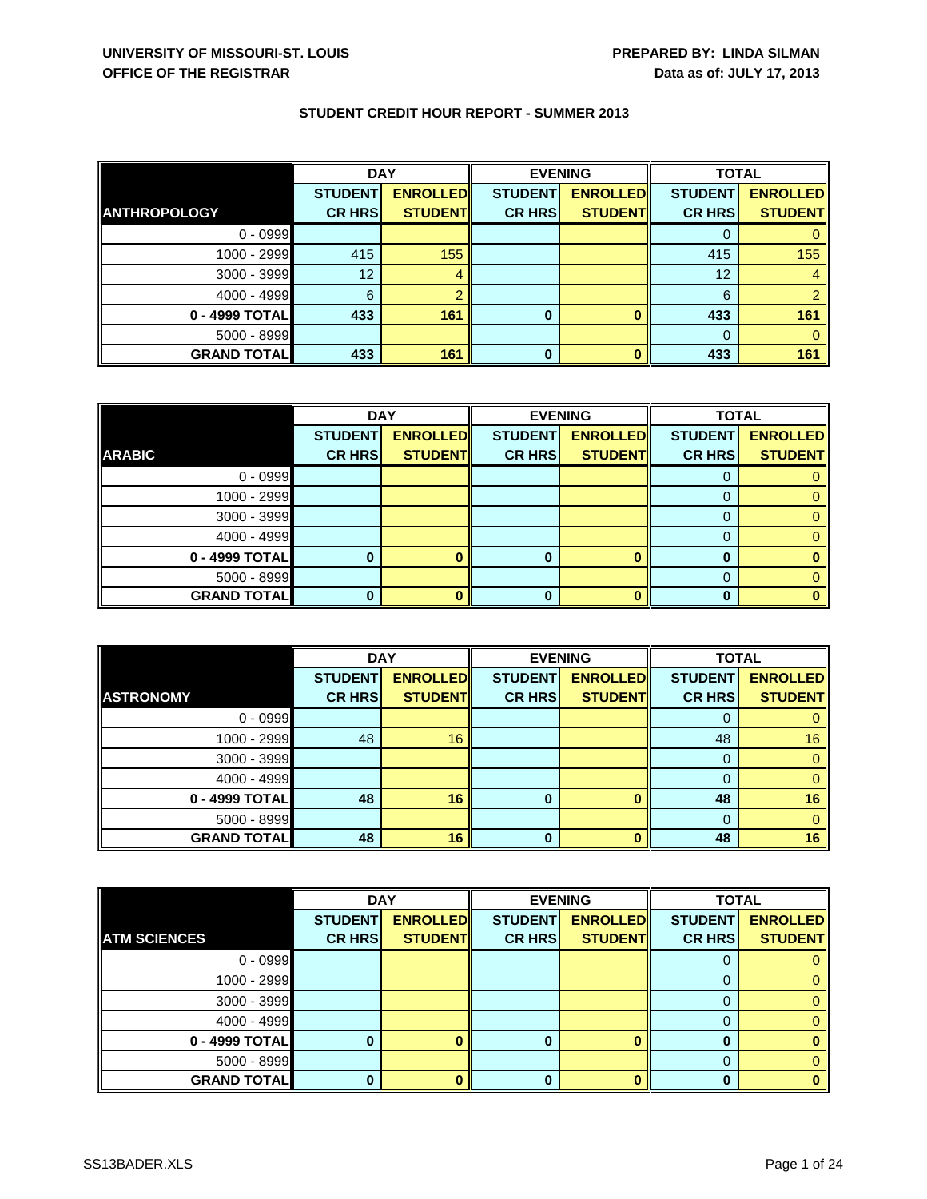|                     | <b>DAY</b>     |                 | <b>EVENING</b> |                 | <b>TOTAL</b>   |                 |
|---------------------|----------------|-----------------|----------------|-----------------|----------------|-----------------|
|                     | <b>STUDENT</b> | <b>ENROLLED</b> | <b>STUDENT</b> | <b>ENROLLED</b> | <b>STUDENT</b> | <b>ENROLLED</b> |
| <b>ANTHROPOLOGY</b> | <b>CR HRS</b>  | <b>STUDENT</b>  | <b>CR HRS</b>  | <b>STUDENT</b>  | <b>CR HRS</b>  | <b>STUDENT</b>  |
| $0 - 0999$          |                |                 |                |                 |                |                 |
| 1000 - 2999         | 415            | 155             |                |                 | 415            | 155             |
| 3000 - 3999         | 12             |                 |                |                 | 12             |                 |
| $4000 - 4999$       | 6              |                 |                |                 | 6              |                 |
| 0 - 4999 TOTAL      | 433            | 161             | $\bf{0}$       |                 | 433            | 161             |
| $5000 - 8999$       |                |                 |                |                 |                |                 |
| <b>GRAND TOTAL</b>  | 433            | 161             | $\bf{0}$       |                 | 433            | 161             |

|                      | <b>DAY</b>     |                 |                | <b>EVENING</b>  | <b>TOTAL</b>   |                 |
|----------------------|----------------|-----------------|----------------|-----------------|----------------|-----------------|
|                      | <b>STUDENT</b> | <b>ENROLLED</b> | <b>STUDENT</b> | <b>ENROLLED</b> | <b>STUDENT</b> | <b>ENROLLED</b> |
| <b>ARABIC</b>        | <b>CR HRS</b>  | <b>STUDENT</b>  | <b>CR HRS</b>  | <b>STUDENT</b>  | <b>CR HRS</b>  | <b>STUDENT</b>  |
| $0 - 0999$           |                |                 |                |                 |                |                 |
| 1000 - 2999          |                |                 |                |                 | $\mathbf{O}$   | 0               |
| $3000 - 3999$        |                |                 |                |                 | O              | 0               |
| 4000 - 4999          |                |                 |                |                 |                | $\Omega$        |
| $0 - 4999$ TOTAL     |                |                 | 0              |                 |                |                 |
| $5000 - 8999$        |                |                 |                |                 | 0              |                 |
| <b>GRAND TOTAL  </b> |                |                 | ŋ              |                 | O              |                 |

|                    | <b>DAY</b>     |                 |                | <b>EVENING</b>  | <b>TOTAL</b>   |                 |
|--------------------|----------------|-----------------|----------------|-----------------|----------------|-----------------|
|                    | <b>STUDENT</b> | <b>ENROLLED</b> | <b>STUDENT</b> | <b>ENROLLED</b> | <b>STUDENT</b> | <b>ENROLLED</b> |
| <b>ASTRONOMY</b>   | <b>CR HRS</b>  | <b>STUDENT</b>  | <b>CR HRS</b>  | <b>STUDENT</b>  | <b>CR HRS</b>  | <b>STUDENT</b>  |
| $0 - 0999$         |                |                 |                |                 |                |                 |
| 1000 - 2999        | 48             | 16              |                |                 | 48             | 16              |
| 3000 - 3999        |                |                 |                |                 | $\Omega$       | $\mathbf{0}$    |
| 4000 - 4999        |                |                 |                |                 |                | $\Omega$        |
| 0 - 4999 TOTAL     | 48             | 16              | $\bf{0}$       |                 | 48             | 16              |
| 5000 - 8999        |                |                 |                |                 | 0              | $\Omega$        |
| <b>GRAND TOTAL</b> | 48             | 16              | $\bf{0}$       |                 | 48             | 16              |

|                     | <b>DAY</b>     |                 | <b>EVENING</b> |                 | <b>TOTAL</b>   |                 |
|---------------------|----------------|-----------------|----------------|-----------------|----------------|-----------------|
|                     | <b>STUDENT</b> | <b>ENROLLED</b> | <b>STUDENT</b> | <b>ENROLLED</b> | <b>STUDENT</b> | <b>ENROLLED</b> |
| <b>ATM SCIENCES</b> | <b>CR HRS</b>  | <b>STUDENT</b>  | <b>CR HRS</b>  | <b>STUDENT</b>  | <b>CR HRS</b>  | <b>STUDENT</b>  |
| $0 - 0999$          |                |                 |                |                 |                |                 |
| 1000 - 2999         |                |                 |                |                 |                |                 |
| 3000 - 3999         |                |                 |                |                 |                |                 |
| $4000 - 4999$       |                |                 |                |                 |                |                 |
| 0 - 4999 TOTAL      |                |                 | O              |                 |                |                 |
| 5000 - 8999         |                |                 |                |                 | 0              |                 |
| <b>GRAND TOTAL</b>  |                |                 | n              |                 | ŋ              |                 |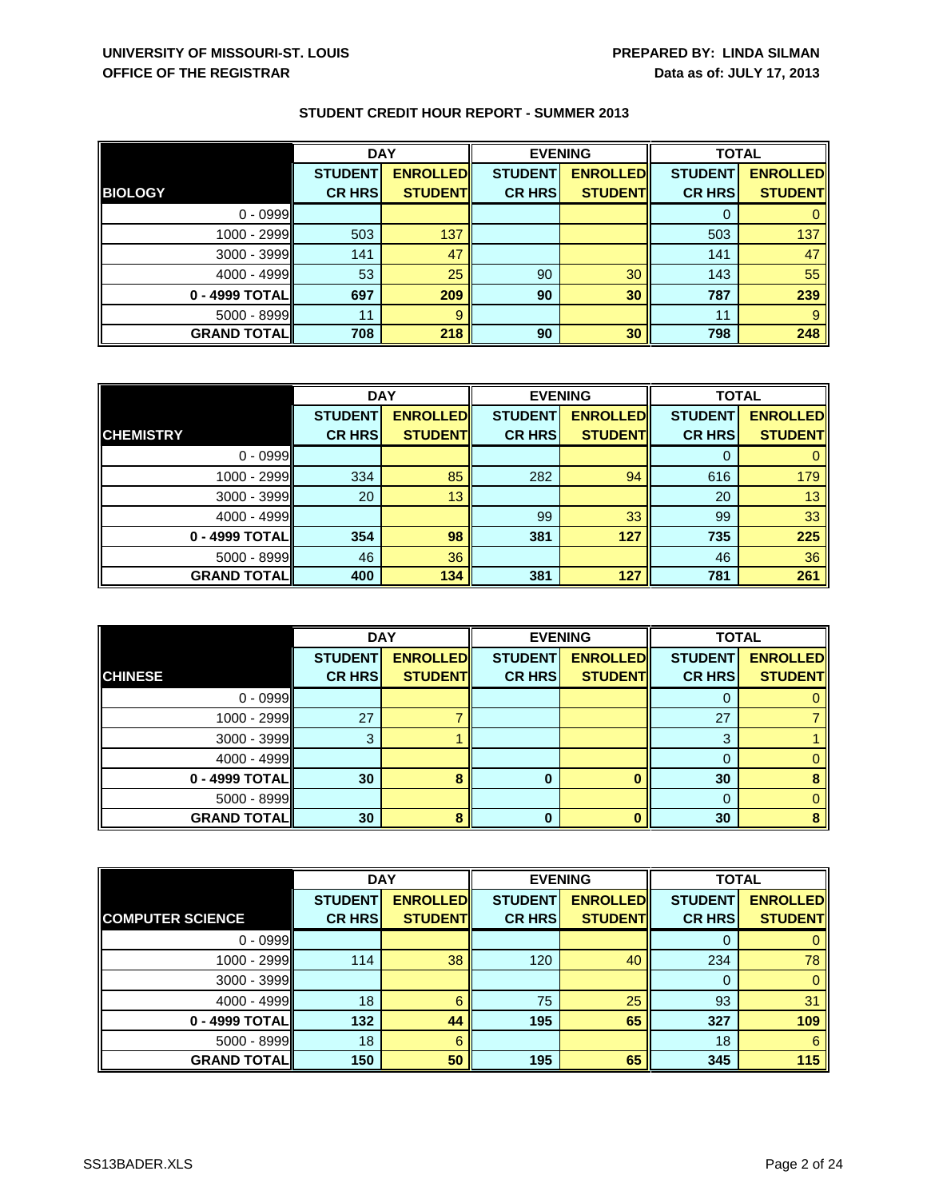|                      | <b>DAY</b>     |                 |                | <b>EVENING</b>  |                | <b>TOTAL</b>    |  |
|----------------------|----------------|-----------------|----------------|-----------------|----------------|-----------------|--|
|                      | <b>STUDENT</b> | <b>ENROLLED</b> | <b>STUDENT</b> | <b>ENROLLED</b> | <b>STUDENT</b> | <b>ENROLLED</b> |  |
| <b>BIOLOGY</b>       | <b>CR HRS</b>  | <b>STUDENT</b>  | <b>CR HRS</b>  | <b>STUDENT</b>  | <b>CR HRS</b>  | <b>STUDENT</b>  |  |
| $0 - 0999$           |                |                 |                |                 |                |                 |  |
| 1000 - 2999          | 503            | 137             |                |                 | 503            | 137             |  |
| 3000 - 3999          | 141            | 47              |                |                 | 141            | 47              |  |
| 4000 - 4999          | 53             | 25              | 90             | 30              | 143            | 55              |  |
| 0 - 4999 TOTALI      | 697            | 209             | 90             | 30              | 787            | 239             |  |
| 5000 - 8999          | 11             | 9               |                |                 | 11             | 9               |  |
| <b>GRAND TOTAL  </b> | 708            | 218             | 90             | 30              | 798            | 248             |  |

|                     | <b>DAY</b>     |                 |                | <b>EVENING</b>  |                | <b>TOTAL</b>    |  |
|---------------------|----------------|-----------------|----------------|-----------------|----------------|-----------------|--|
|                     | <b>STUDENT</b> | <b>ENROLLED</b> | <b>STUDENT</b> | <b>ENROLLED</b> | <b>STUDENT</b> | <b>ENROLLED</b> |  |
| <b>CHEMISTRY</b>    | <b>CR HRS</b>  | <b>STUDENT</b>  | <b>CR HRS</b>  | <b>STUDENT</b>  | <b>CR HRS</b>  | <b>STUDENT</b>  |  |
| $0 - 0999$          |                |                 |                |                 | 0              |                 |  |
| $1000 - 2999$       | 334            | 85              | 282            | 94              | 616            | 179             |  |
| $3000 - 3999$       | 20             | 13              |                |                 | 20             | 13              |  |
| $4000 - 4999$       |                |                 | 99             | 33              | 99             | 33              |  |
| 0 - 4999 TOTAL      | 354            | 98              | 381            | 127             | 735            | 225             |  |
| $5000 - 8999$       | 46             | 36              |                |                 | 46             | 36              |  |
| <b>GRAND TOTALI</b> | 400            | 134             | 381            | 127             | 781            | 261             |  |

|                      | <b>DAY</b>     |                 | <b>EVENING</b> |                 | <b>TOTAL</b>   |                 |
|----------------------|----------------|-----------------|----------------|-----------------|----------------|-----------------|
|                      | <b>STUDENT</b> | <b>ENROLLED</b> | <b>STUDENT</b> | <b>ENROLLED</b> | <b>STUDENT</b> | <b>ENROLLED</b> |
| <b>CHINESE</b>       | <b>CR HRS</b>  | <b>STUDENT</b>  | <b>CR HRS</b>  | <b>STUDENT</b>  | <b>CR HRS</b>  | <b>STUDENT</b>  |
| $0 - 0999$           |                |                 |                |                 |                |                 |
| 1000 - 2999          | 27             |                 |                |                 | 27             |                 |
| 3000 - 3999          | 3              |                 |                |                 | 3              |                 |
| $4000 - 4999$        |                |                 |                |                 |                |                 |
| 0 - 4999 TOTAL       | 30             |                 | 0              |                 | 30             |                 |
| 5000 - 8999          |                |                 |                |                 |                |                 |
| <b>GRAND TOTAL  </b> | 30             |                 | O              |                 | 30             | 8               |

|                         | <b>DAY</b>     |                 |                | <b>EVENING</b>  | <b>TOTAL</b>   |                 |
|-------------------------|----------------|-----------------|----------------|-----------------|----------------|-----------------|
|                         | <b>STUDENT</b> | <b>ENROLLED</b> | <b>STUDENT</b> | <b>ENROLLED</b> | <b>STUDENT</b> | <b>ENROLLED</b> |
| <b>COMPUTER SCIENCE</b> | <b>CR HRS</b>  | <b>STUDENT</b>  | <b>CR HRS</b>  | <b>STUDENT</b>  | <b>CR HRS</b>  | <b>STUDENT</b>  |
| $0 - 0999$              |                |                 |                |                 | O              |                 |
| $1000 - 2999$           | 114            | 38              | 120            | 40              | 234            | 78              |
| 3000 - 3999             |                |                 |                |                 | $\Omega$       | 0               |
| $4000 - 4999$           | 18             | 6               | 75             | 25              | 93             | 31              |
| 0 - 4999 TOTALI         | 132            | 44              | 195            | 65              | 327            | 109             |
| 5000 - 8999             | 18             | 6               |                |                 | 18             | 6               |
| <b>GRAND TOTAL</b>      | 150            | 50              | 195            | 65              | 345            | 115             |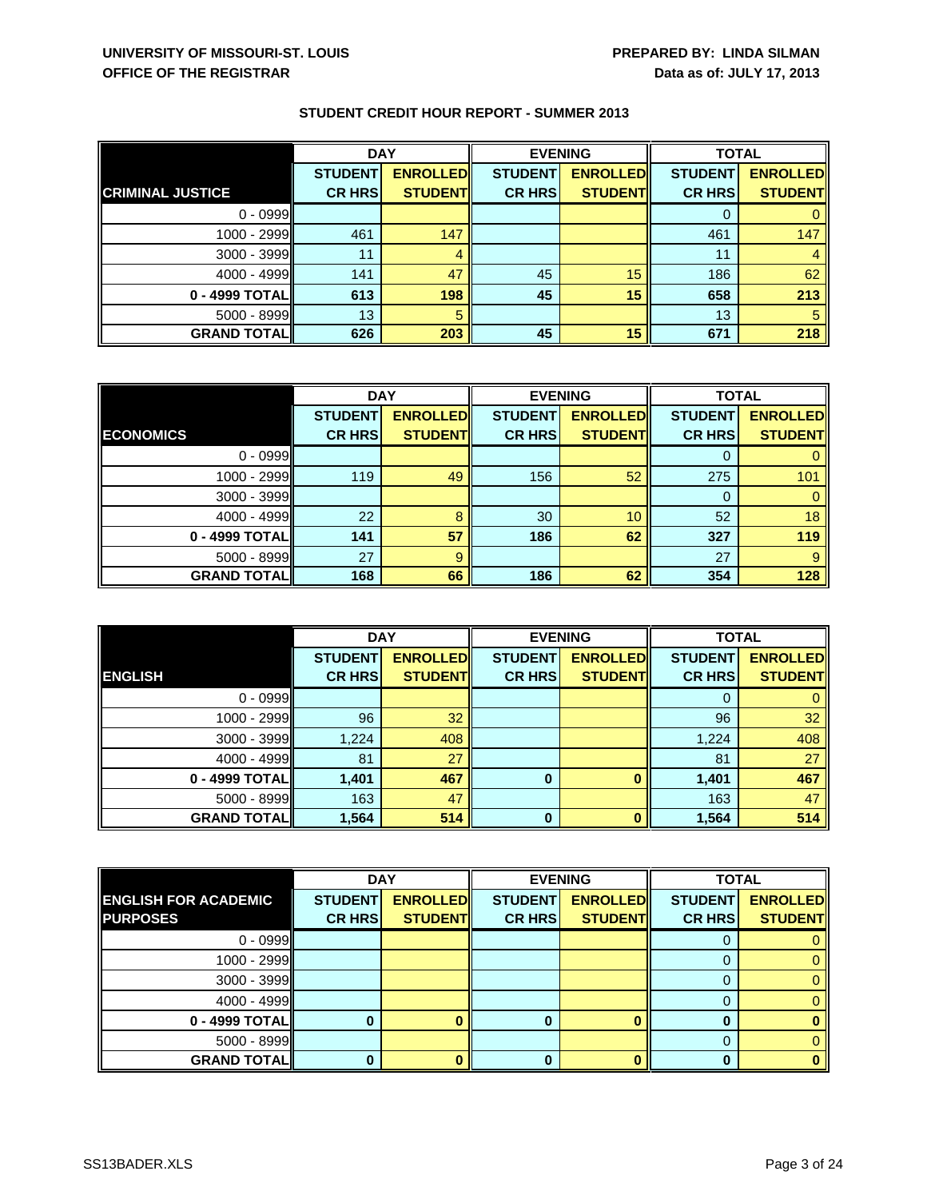|                         | <b>DAY</b>     |                 | <b>EVENING</b> |                 | <b>TOTAL</b>   |                 |
|-------------------------|----------------|-----------------|----------------|-----------------|----------------|-----------------|
|                         | <b>STUDENT</b> | <b>ENROLLED</b> | <b>STUDENT</b> | <b>ENROLLED</b> | <b>STUDENT</b> | <b>ENROLLED</b> |
| <b>CRIMINAL JUSTICE</b> | <b>CR HRS</b>  | <b>STUDENT</b>  | <b>CR HRS</b>  | <b>STUDENT</b>  | <b>CR HRS</b>  | <b>STUDENT</b>  |
| $0 - 0999$              |                |                 |                |                 |                |                 |
| $1000 - 2999$           | 461            | 147             |                |                 | 461            | 147             |
| $3000 - 3999$           | 11             |                 |                |                 | 11             |                 |
| $4000 - 4999$           | 141            | 47              | 45             | 15              | 186            | 62              |
| 0 - 4999 TOTAL          | 613            | 198             | 45             | 15              | 658            | 213             |
| $5000 - 8999$           | 13             | 5               |                |                 | 13             | 5               |
| <b>GRAND TOTAL  </b>    | 626            | 203             | 45             | 15              | 671            | 218             |

|                     | <b>DAY</b>     |                 | <b>EVENING</b> |                 | <b>TOTAL</b>   |                 |
|---------------------|----------------|-----------------|----------------|-----------------|----------------|-----------------|
|                     | <b>STUDENT</b> | <b>ENROLLED</b> | <b>STUDENT</b> | <b>ENROLLED</b> | <b>STUDENT</b> | <b>ENROLLED</b> |
| <b>ECONOMICS</b>    | <b>CR HRS</b>  | <b>STUDENT</b>  | <b>CR HRS</b>  | <b>STUDENT</b>  | <b>CR HRS</b>  | <b>STUDENT</b>  |
| $0 - 0999$          |                |                 |                |                 |                |                 |
| $1000 - 2999$       | 119            | 49              | 156            | 52              | 275            | 101             |
| $3000 - 3999$       |                |                 |                |                 | $\Omega$       |                 |
| 4000 - 4999         | 22             | 8               | 30             | 10              | 52             | 18              |
| 0 - 4999 TOTAL      | 141            | 57              | 186            | 62              | 327            | 119             |
| $5000 - 8999$       | 27             | 9               |                |                 | 27             | 9               |
| <b>GRAND TOTALI</b> | 168            | 66              | 186            | 62              | 354            | 128             |

|                    | <b>DAY</b>     |                 | <b>EVENING</b> |                 | <b>TOTAL</b>   |                 |
|--------------------|----------------|-----------------|----------------|-----------------|----------------|-----------------|
|                    | <b>STUDENT</b> | <b>ENROLLED</b> | <b>STUDENT</b> | <b>ENROLLED</b> | <b>STUDENT</b> | <b>ENROLLED</b> |
| <b>ENGLISH</b>     | <b>CR HRS</b>  | <b>STUDENT</b>  | <b>CR HRS</b>  | <b>STUDENT</b>  | <b>CR HRS</b>  | <b>STUDENT</b>  |
| $0 - 0999$         |                |                 |                |                 | 0              |                 |
| 1000 - 2999        | 96             | 32              |                |                 | 96             | 32              |
| 3000 - 3999        | 1,224          | 408             |                |                 | 1,224          | 408             |
| 4000 - 4999        | 81             | 27              |                |                 | 81             | 27              |
| 0 - 4999 TOTAL     | 1,401          | 467             | 0              |                 | 1,401          | 467             |
| 5000 - 8999        | 163            | 47              |                |                 | 163            | 47              |
| <b>GRAND TOTAL</b> | 1,564          | 514             | $\bf{0}$       |                 | 1,564          | 514             |

|                             | <b>DAY</b>     |                 | <b>EVENING</b> |                 | <b>TOTAL</b>   |                 |
|-----------------------------|----------------|-----------------|----------------|-----------------|----------------|-----------------|
| <b>ENGLISH FOR ACADEMIC</b> | <b>STUDENT</b> | <b>ENROLLED</b> | <b>STUDENT</b> | <b>ENROLLED</b> | <b>STUDENT</b> | <b>ENROLLED</b> |
| <b>PURPOSES</b>             | <b>CR HRS</b>  | <b>STUDENTI</b> | <b>CR HRS</b>  | <b>STUDENTI</b> | <b>CR HRS</b>  | <b>STUDENT</b>  |
| $0 - 0999$                  |                |                 |                |                 |                |                 |
| 1000 - 2999                 |                |                 |                |                 |                |                 |
| 3000 - 3999                 |                |                 |                |                 |                |                 |
| $4000 - 4999$               |                |                 |                |                 |                |                 |
| 0 - 4999 TOTALI             |                |                 |                |                 |                |                 |
| 5000 - 8999                 |                |                 |                |                 |                |                 |
| <b>GRAND TOTAL</b>          |                |                 | 0              |                 |                |                 |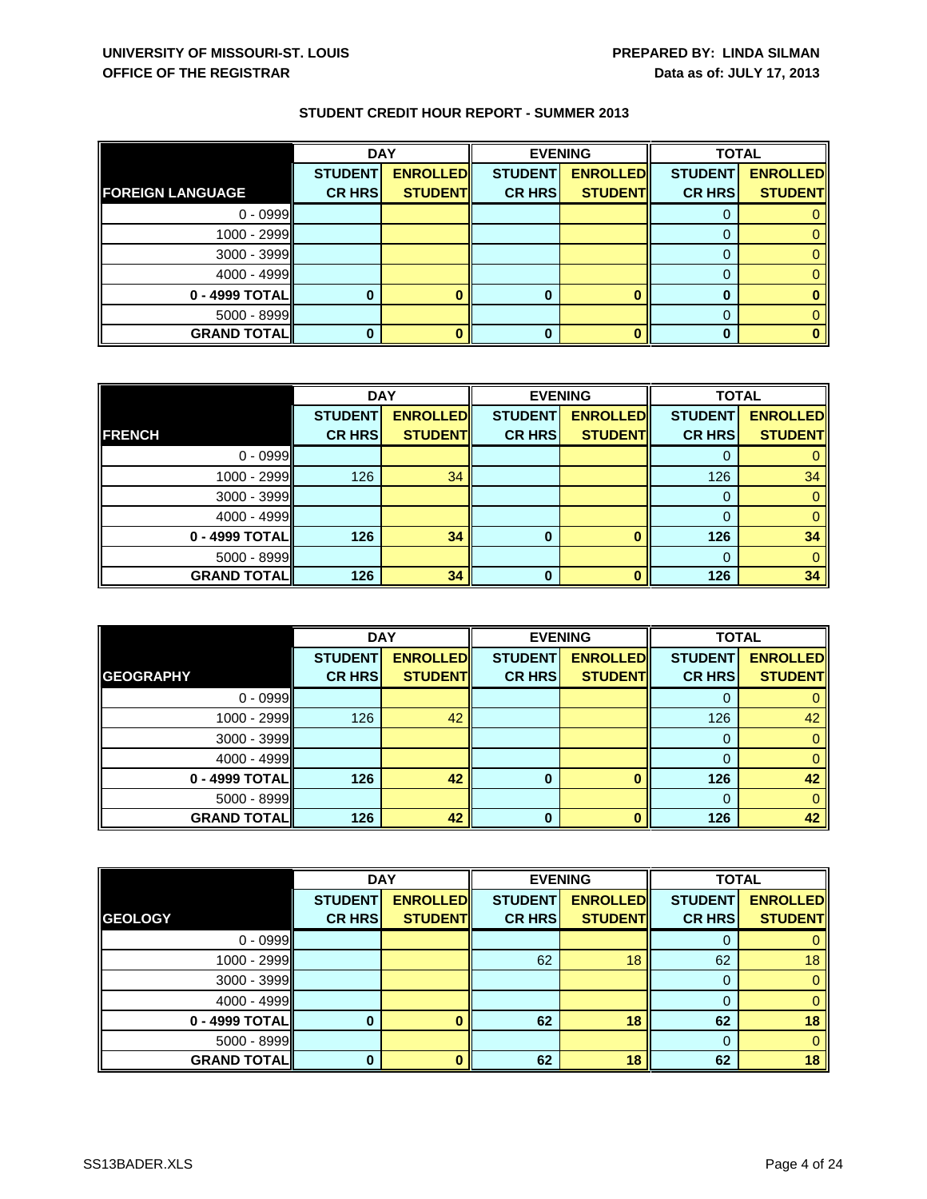|                         | <b>DAY</b>     |                 | <b>EVENING</b> |                 | <b>TOTAL</b>   |                 |
|-------------------------|----------------|-----------------|----------------|-----------------|----------------|-----------------|
|                         | <b>STUDENT</b> | <b>ENROLLED</b> | <b>STUDENT</b> | <b>ENROLLED</b> | <b>STUDENT</b> | <b>ENROLLED</b> |
| <b>FOREIGN LANGUAGE</b> | <b>CR HRS</b>  | <b>STUDENT</b>  | <b>CR HRS</b>  | <b>STUDENT</b>  | <b>CR HRS</b>  | <b>STUDENT</b>  |
| $0 - 0999$              |                |                 |                |                 |                |                 |
| 1000 - 2999             |                |                 |                |                 |                |                 |
| 3000 - 3999             |                |                 |                |                 |                |                 |
| $4000 - 4999$           |                |                 |                |                 |                |                 |
| 0 - 4999 TOTAL          |                |                 | 0              |                 | o              |                 |
| $5000 - 8999$           |                |                 |                |                 |                |                 |
| <b>GRAND TOTAL</b>      |                |                 |                |                 |                |                 |

|                    | <b>DAY</b>     |                 | <b>EVENING</b> |                 | <b>TOTAL</b>   |                 |
|--------------------|----------------|-----------------|----------------|-----------------|----------------|-----------------|
|                    | <b>STUDENT</b> | <b>ENROLLED</b> | <b>STUDENT</b> | <b>ENROLLED</b> | <b>STUDENT</b> | <b>ENROLLED</b> |
| <b>FRENCH</b>      | <b>CR HRS</b>  | <b>STUDENT</b>  | <b>CR HRS</b>  | <b>STUDENT</b>  | <b>CR HRS</b>  | <b>STUDENT</b>  |
| $0 - 0999$         |                |                 |                |                 |                |                 |
| 1000 - 2999        | 126            | 34              |                |                 | 126            | 34              |
| $3000 - 3999$      |                |                 |                |                 | 0              |                 |
| $4000 - 4999$      |                |                 |                |                 | $\Omega$       | 0               |
| 0 - 4999 TOTAL     | 126            | 34              | $\bf{0}$       |                 | 126            | 34              |
| $5000 - 8999$      |                |                 |                |                 | 0              |                 |
| <b>GRAND TOTAL</b> | 126            | 34              | O              |                 | 126            | 34              |

|                    | <b>DAY</b>     |                 | <b>EVENING</b> |                 | <b>TOTAL</b>   |                 |
|--------------------|----------------|-----------------|----------------|-----------------|----------------|-----------------|
|                    | <b>STUDENT</b> | <b>ENROLLED</b> | <b>STUDENT</b> | <b>ENROLLED</b> | <b>STUDENT</b> | <b>ENROLLED</b> |
| <b>GEOGRAPHY</b>   | <b>CR HRS</b>  | <b>STUDENT</b>  | <b>CR HRS</b>  | <b>STUDENT</b>  | <b>CR HRS</b>  | <b>STUDENT</b>  |
| $0 - 0999$         |                |                 |                |                 |                |                 |
| 1000 - 2999        | 126            | 42              |                |                 | 126            | 42              |
| 3000 - 3999        |                |                 |                |                 | 0              |                 |
| 4000 - 4999        |                |                 |                |                 |                |                 |
| 0 - 4999 TOTAL     | 126            | 42              | 0              |                 | 126            | 42              |
| 5000 - 8999        |                |                 |                |                 | 0              |                 |
| <b>GRAND TOTAL</b> | 126            | 42              | O              |                 | 126            | 42              |

|                    | <b>DAY</b>     |                 | <b>EVENING</b> |                 | <b>TOTAL</b>   |                 |
|--------------------|----------------|-----------------|----------------|-----------------|----------------|-----------------|
|                    | <b>STUDENT</b> | <b>ENROLLED</b> | <b>STUDENT</b> | <b>ENROLLED</b> | <b>STUDENT</b> | <b>ENROLLED</b> |
| <b>GEOLOGY</b>     | <b>CR HRS</b>  | <b>STUDENT</b>  | <b>CR HRS</b>  | <b>STUDENT</b>  | <b>CR HRS</b>  | <b>STUDENT</b>  |
| $0 - 0999$         |                |                 |                |                 | 0              |                 |
| 1000 - 2999        |                |                 | 62             | 18              | 62             | 18              |
| 3000 - 3999        |                |                 |                |                 | 0              | 0               |
| 4000 - 4999        |                |                 |                |                 |                |                 |
| 0 - 4999 TOTAL     | O              |                 | 62             | 18              | 62             | 18              |
| 5000 - 8999        |                |                 |                |                 | $\Omega$       | 0               |
| <b>GRAND TOTAL</b> | $\mathbf 0$    |                 | 62             | 18              | 62             | 18              |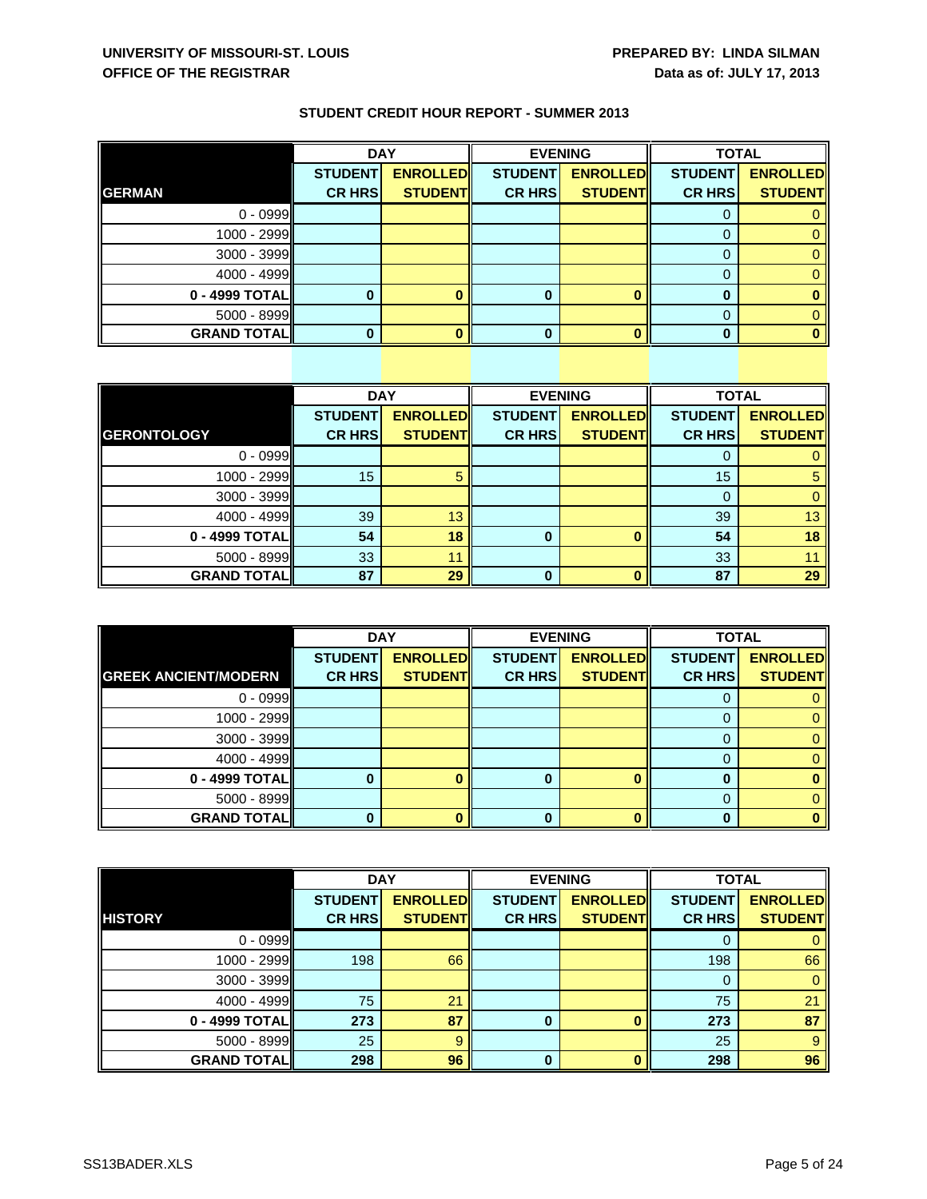|                    | <b>DAY</b>     |                 | <b>EVENING</b> |                 | <b>TOTAL</b>   |                 |
|--------------------|----------------|-----------------|----------------|-----------------|----------------|-----------------|
|                    | <b>STUDENT</b> | <b>ENROLLED</b> | <b>STUDENT</b> | <b>ENROLLED</b> | <b>STUDENT</b> | <b>ENROLLED</b> |
| <b>GERMAN</b>      | <b>CR HRS</b>  | <b>STUDENT</b>  | <b>CR HRS</b>  | <b>STUDENT</b>  | <b>CR HRS</b>  | <b>STUDENT</b>  |
| $0 - 0999$         |                |                 |                |                 | υ              |                 |
| $1000 - 2999$      |                |                 |                |                 |                |                 |
| $3000 - 3999$      |                |                 |                |                 |                |                 |
| $4000 - 4999$      |                |                 |                |                 |                |                 |
| 0 - 4999 TOTAL     |                |                 | 0              |                 |                |                 |
| $5000 - 8999$      |                |                 |                |                 |                |                 |
| <b>GRAND TOTAL</b> |                |                 |                |                 |                |                 |

|                    | <b>DAY</b>     |                 | <b>EVENING</b> |                 | <b>TOTAL</b>   |                 |
|--------------------|----------------|-----------------|----------------|-----------------|----------------|-----------------|
|                    | <b>STUDENT</b> | <b>ENROLLED</b> | <b>STUDENT</b> | <b>ENROLLED</b> | <b>STUDENT</b> | <b>ENROLLED</b> |
| <b>GERONTOLOGY</b> | <b>CR HRS</b>  | <b>STUDENT</b>  | <b>CR HRS</b>  | <b>STUDENT</b>  | <b>CR HRS</b>  | <b>STUDENT</b>  |
| $0 - 0999$         |                |                 |                |                 | O              |                 |
| 1000 - 2999        | 15             | 5               |                |                 | 15             | 5               |
| 3000 - 3999        |                |                 |                |                 | 0              |                 |
| $4000 - 4999$      | 39             | 13              |                |                 | 39             | 13              |
| 0 - 4999 TOTAL     | 54             | 18              | $\bf{0}$       |                 | 54             | 18              |
| $5000 - 8999$      | 33             | 11              |                |                 | 33             |                 |
| <b>GRAND TOTAL</b> | 87             | 29              | O              |                 | 87             | 29              |

|                             | <b>DAY</b>     |                 | <b>EVENING</b> |                 | <b>TOTAL</b>   |                 |
|-----------------------------|----------------|-----------------|----------------|-----------------|----------------|-----------------|
|                             | <b>STUDENT</b> | <b>ENROLLED</b> | <b>STUDENT</b> | <b>ENROLLED</b> | <b>STUDENT</b> | <b>ENROLLED</b> |
| <b>GREEK ANCIENT/MODERN</b> | <b>CR HRS</b>  | <b>STUDENT</b>  | <b>CR HRS</b>  | <b>STUDENT</b>  | <b>CR HRS</b>  | <b>STUDENT</b>  |
| $0 - 0999$                  |                |                 |                |                 |                |                 |
| 1000 - 2999                 |                |                 |                |                 |                |                 |
| 3000 - 3999                 |                |                 |                |                 | O              |                 |
| $4000 - 4999$               |                |                 |                |                 |                |                 |
| 0 - 4999 TOTAL              |                |                 | 0              |                 |                |                 |
| $5000 - 8999$               |                |                 |                |                 |                |                 |
| <b>GRAND TOTAL  </b>        |                |                 | n              |                 | ŋ              |                 |

|                    | <b>DAY</b>     |                 | <b>EVENING</b> |                 | <b>TOTAL</b>   |                 |
|--------------------|----------------|-----------------|----------------|-----------------|----------------|-----------------|
|                    | <b>STUDENT</b> | <b>ENROLLED</b> | <b>STUDENT</b> | <b>ENROLLED</b> | <b>STUDENT</b> | <b>ENROLLED</b> |
| <b>HISTORY</b>     | <b>CR HRS</b>  | <b>STUDENT</b>  | <b>CR HRS</b>  | <b>STUDENTI</b> | <b>CR HRS</b>  | <b>STUDENT</b>  |
| $0 - 0999$         |                |                 |                |                 | O              |                 |
| $1000 - 2999$      | 198            | 66              |                |                 | 198            | 66              |
| 3000 - 3999        |                |                 |                |                 | $\Omega$       | 0               |
| $4000 - 4999$      | 75             | 21              |                |                 | 75             | 21              |
| 0 - 4999 TOTALI    | 273            | 87              | 0              |                 | 273            | 87              |
| 5000 - 8999        | 25             | 9               |                |                 | 25             | 9               |
| <b>GRAND TOTAL</b> | 298            | 96              | 0              |                 | 298            | 96              |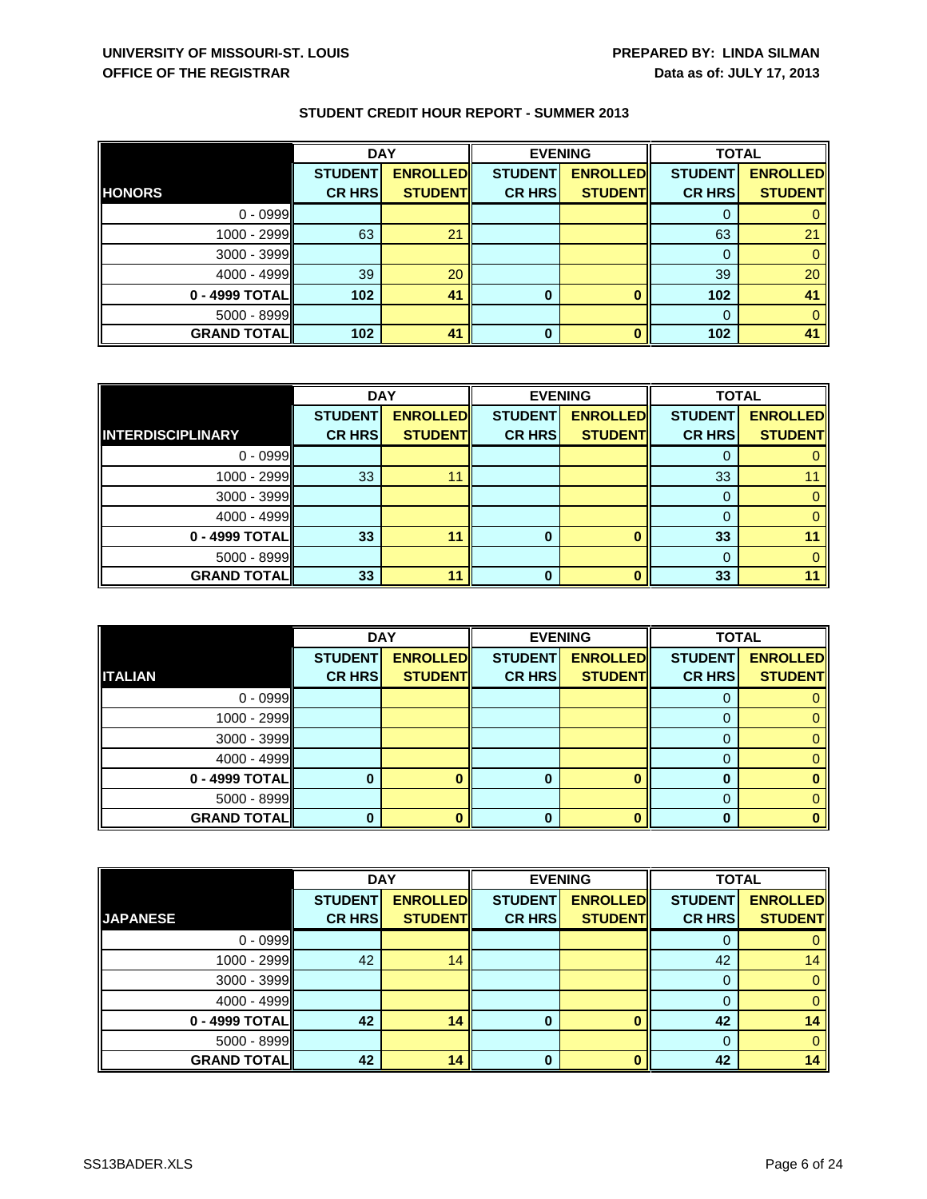|                      | <b>DAY</b>     |                 | <b>EVENING</b> |                 | <b>TOTAL</b>   |                 |
|----------------------|----------------|-----------------|----------------|-----------------|----------------|-----------------|
|                      | <b>STUDENT</b> | <b>ENROLLED</b> | <b>STUDENT</b> | <b>ENROLLED</b> | <b>STUDENT</b> | <b>ENROLLED</b> |
| <b>HONORS</b>        | <b>CR HRS</b>  | <b>STUDENT</b>  | <b>CR HRS</b>  | <b>STUDENT</b>  | <b>CR HRS</b>  | <b>STUDENT</b>  |
| $0 - 0999$           |                |                 |                |                 |                |                 |
| 1000 - 2999          | 63             | 21              |                |                 | 63             | 21              |
| 3000 - 3999          |                |                 |                |                 |                |                 |
| $4000 - 4999$        | 39             | 20              |                |                 | 39             | 20              |
| 0 - 4999 TOTAL       | 102            | 41              | 0              |                 | 102            | 41              |
| $5000 - 8999$        |                |                 |                |                 | $\Omega$       |                 |
| <b>GRAND TOTAL  </b> | 102            | 41              | 0              |                 | 102            | 41              |

|                          | <b>DAY</b>     |                 |                | <b>EVENING</b>  | <b>TOTAL</b>   |                 |
|--------------------------|----------------|-----------------|----------------|-----------------|----------------|-----------------|
|                          | <b>STUDENT</b> | <b>ENROLLED</b> | <b>STUDENT</b> | <b>ENROLLED</b> | <b>STUDENT</b> | <b>ENROLLED</b> |
| <b>INTERDISCIPLINARY</b> | <b>CR HRS</b>  | <b>STUDENT</b>  | <b>CR HRS</b>  | <b>STUDENT</b>  | <b>CR HRSI</b> | <b>STUDENT</b>  |
| $0 - 0999$               |                |                 |                |                 |                |                 |
| $1000 - 2999$            | 33             | 11              |                |                 | 33             |                 |
| $3000 - 3999$            |                |                 |                |                 | 0              |                 |
| $4000 - 4999$            |                |                 |                |                 | $\Omega$       |                 |
| 0 - 4999 TOTAL           | 33             | 11              | 0              |                 | 33             |                 |
| $5000 - 8999$            |                |                 |                |                 | 0              |                 |
| <b>GRAND TOTAL</b>       | 33             | 11              | O              |                 | 33             |                 |

|                      | <b>DAY</b>     |                 |                | <b>EVENING</b>  | <b>TOTAL</b>   |                 |
|----------------------|----------------|-----------------|----------------|-----------------|----------------|-----------------|
|                      | <b>STUDENT</b> | <b>ENROLLED</b> | <b>STUDENT</b> | <b>ENROLLED</b> | <b>STUDENT</b> | <b>ENROLLED</b> |
| <b>ITALIAN</b>       | <b>CR HRS</b>  | <b>STUDENT</b>  | <b>CR HRS</b>  | <b>STUDENT</b>  | <b>CR HRS</b>  | <b>STUDENT</b>  |
| $0 - 0999$           |                |                 |                |                 |                |                 |
| 1000 - 2999          |                |                 |                |                 |                |                 |
| 3000 - 3999          |                |                 |                |                 | 0              |                 |
| 4000 - 4999          |                |                 |                |                 |                |                 |
| 0 - 4999 TOTAL       |                |                 | 0              |                 |                |                 |
| 5000 - 8999          |                |                 |                |                 |                |                 |
| <b>GRAND TOTAL  </b> |                |                 | n              |                 |                |                 |

|                    | <b>DAY</b>     |                 |                | <b>EVENING</b>  | <b>TOTAL</b>   |                 |
|--------------------|----------------|-----------------|----------------|-----------------|----------------|-----------------|
|                    | <b>STUDENT</b> | <b>ENROLLED</b> | <b>STUDENT</b> | <b>ENROLLED</b> | <b>STUDENT</b> | <b>ENROLLED</b> |
| <b>JAPANESE</b>    | <b>CR HRS</b>  | <b>STUDENT</b>  | <b>CR HRS</b>  | <b>STUDENTI</b> | <b>CR HRS</b>  | <b>STUDENT</b>  |
| $0 - 0999$         |                |                 |                |                 | O              |                 |
| 1000 - 2999        | 42             | 14              |                |                 | 42             | 14              |
| 3000 - 3999        |                |                 |                |                 | $\Omega$       |                 |
| $4000 - 4999$      |                |                 |                |                 | 0              |                 |
| 0 - 4999 TOTAL     | 42             | 14              | 0              |                 | 42             | 14              |
| $5000 - 8999$      |                |                 |                |                 |                |                 |
| <b>GRAND TOTAL</b> | 42             | 14              | 0              |                 | 42             | 14              |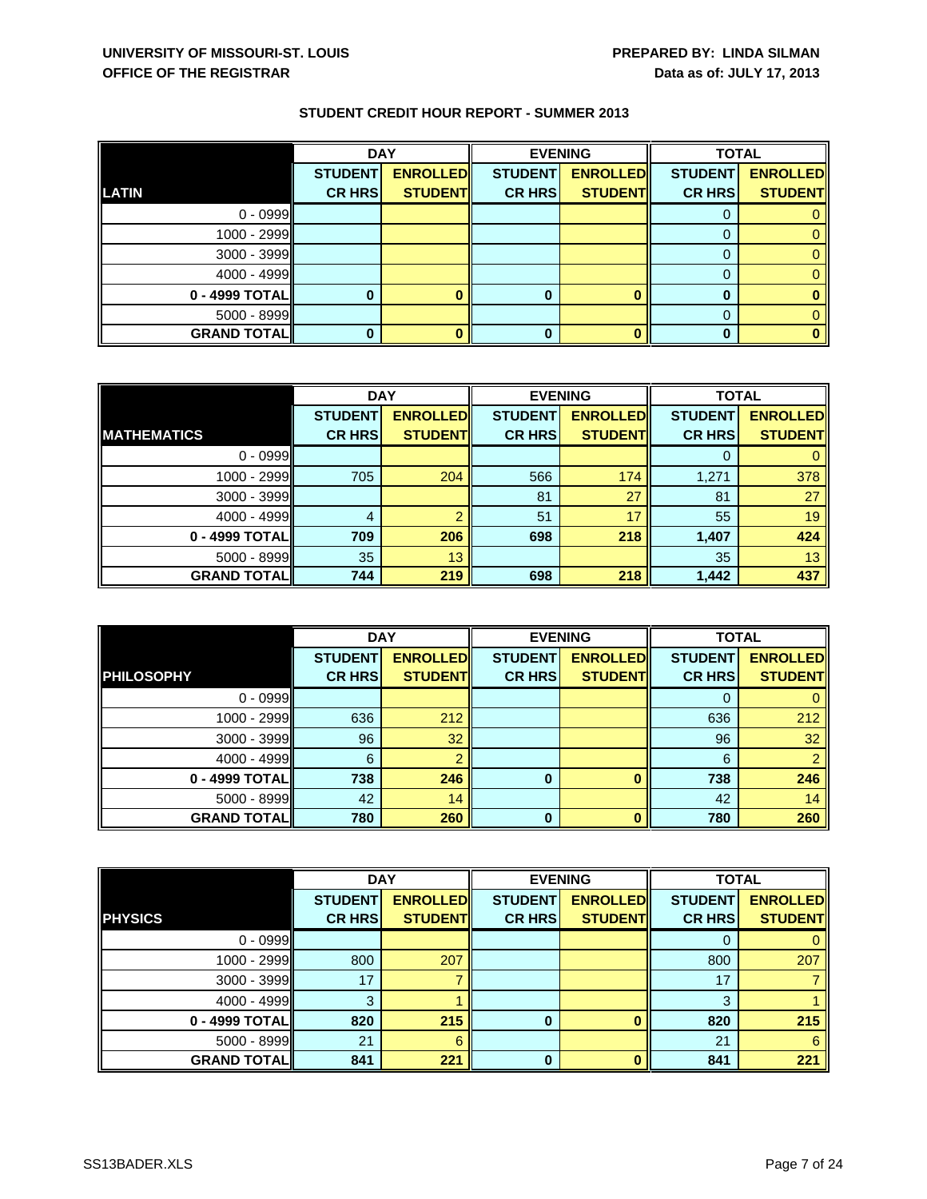|                    | <b>DAY</b>     |                 |                | <b>EVENING</b>  | <b>TOTAL</b>   |                 |
|--------------------|----------------|-----------------|----------------|-----------------|----------------|-----------------|
|                    | <b>STUDENT</b> | <b>ENROLLED</b> | <b>STUDENT</b> | <b>ENROLLED</b> | <b>STUDENT</b> | <b>ENROLLED</b> |
| <b>LATIN</b>       | <b>CR HRS</b>  | <b>STUDENT</b>  | <b>CR HRS</b>  | <b>STUDENT</b>  | <b>CR HRS</b>  | <b>STUDENT</b>  |
| $0 - 0999$         |                |                 |                |                 |                |                 |
| $1000 - 2999$      |                |                 |                |                 |                |                 |
| $3000 - 3999$      |                |                 |                |                 |                |                 |
| $4000 - 4999$      |                |                 |                |                 |                |                 |
| $0 - 4999$ TOTAL   |                |                 | 0              |                 |                |                 |
| $5000 - 8999$      |                |                 |                |                 |                |                 |
| <b>GRAND TOTAL</b> |                |                 | 0              |                 | 0              |                 |

|                    | <b>DAY</b>     |                 | <b>EVENING</b> |                 | <b>TOTAL</b>   |                 |
|--------------------|----------------|-----------------|----------------|-----------------|----------------|-----------------|
|                    | <b>STUDENT</b> | <b>ENROLLED</b> | <b>STUDENT</b> | <b>ENROLLED</b> | <b>STUDENT</b> | <b>ENROLLED</b> |
| <b>MATHEMATICS</b> | <b>CR HRS</b>  | <b>STUDENT</b>  | <b>CR HRSI</b> | <b>STUDENT</b>  | <b>CR HRS</b>  | <b>STUDENT</b>  |
| $0 - 0999$         |                |                 |                |                 |                |                 |
| $1000 - 2999$      | 705            | 204             | 566            | 174             | 1,271          | 378             |
| $3000 - 3999$      |                |                 | 81             | 27              | 81             | 27              |
| $4000 - 4999$      | 4              | റ               | 51             | 17              | 55             | 19              |
| 0 - 4999 TOTAL     | 709            | 206             | 698            | 218             | 1,407          | 424             |
| $5000 - 8999$      | 35             | 13              |                |                 | 35             | 13              |
| <b>GRAND TOTAL</b> | 744            | 219             | 698            | 218             | 1,442          | 437             |

|                    | <b>DAY</b>     |                 |                | <b>EVENING</b>  | <b>TOTAL</b>   |                 |
|--------------------|----------------|-----------------|----------------|-----------------|----------------|-----------------|
|                    | <b>STUDENT</b> | <b>ENROLLED</b> | <b>STUDENT</b> | <b>ENROLLED</b> | <b>STUDENT</b> | <b>ENROLLED</b> |
| <b>PHILOSOPHY</b>  | <b>CR HRS</b>  | <b>STUDENT</b>  | <b>CR HRS</b>  | <b>STUDENT</b>  | <b>CR HRS</b>  | <b>STUDENT</b>  |
| $0 - 0999$         |                |                 |                |                 |                |                 |
| 1000 - 2999        | 636            | 212             |                |                 | 636            | 212             |
| 3000 - 3999        | 96             | 32              |                |                 | 96             | 32              |
| 4000 - 4999        | 6              |                 |                |                 | 6              |                 |
| 0 - 4999 TOTAL     | 738            | 246             | $\bf{0}$       |                 | 738            | 246             |
| 5000 - 8999        | 42             | 14              |                |                 | 42             | 14              |
| <b>GRAND TOTAL</b> | 780            | 260             | $\bf{0}$       |                 | 780            | 260             |

|                    | <b>DAY</b>     |                 | <b>EVENING</b> |                 | <b>TOTAL</b>   |                 |
|--------------------|----------------|-----------------|----------------|-----------------|----------------|-----------------|
|                    | <b>STUDENT</b> | <b>ENROLLED</b> | <b>STUDENT</b> | <b>ENROLLED</b> | <b>STUDENT</b> | <b>ENROLLED</b> |
| <b>PHYSICS</b>     | <b>CR HRS</b>  | <b>STUDENT</b>  | <b>CR HRS</b>  | <b>STUDENT</b>  | <b>CR HRS</b>  | <b>STUDENT</b>  |
| $0 - 0999$         |                |                 |                |                 |                |                 |
| $1000 - 2999$      | 800            | 207             |                |                 | 800            | 207             |
| $3000 - 3999$      | 17             |                 |                |                 | 17             |                 |
| $4000 - 4999$      | 3              |                 |                |                 | 3              |                 |
| 0 - 4999 TOTALI    | 820            | 215             | 0              |                 | 820            | 215             |
| $5000 - 8999$      | 21             |                 |                |                 | 21             | 6               |
| <b>GRAND TOTAL</b> | 841            | 221             | 0              |                 | 841            | 221             |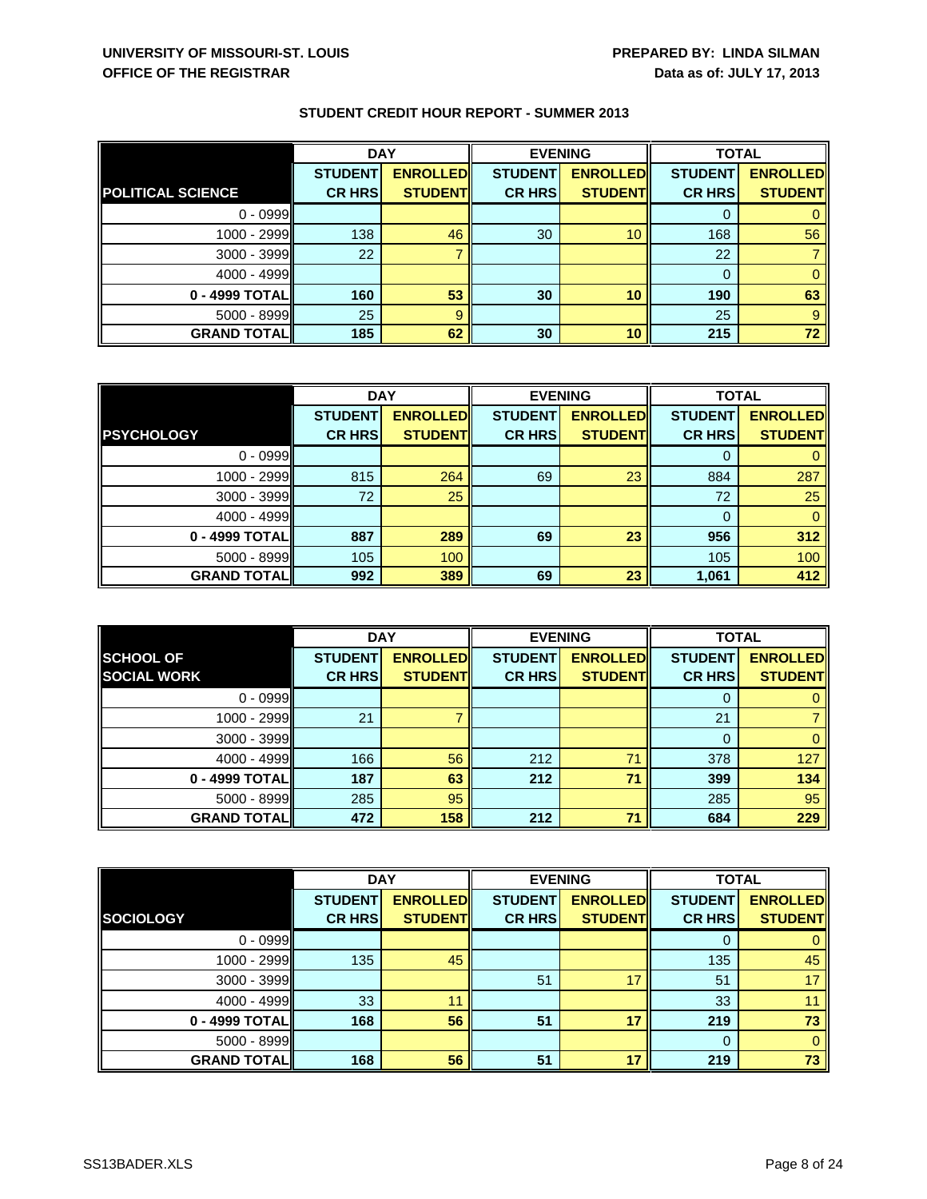|                          | <b>DAY</b>     |                 | <b>EVENING</b> |                 | <b>TOTAL</b>   |                 |
|--------------------------|----------------|-----------------|----------------|-----------------|----------------|-----------------|
|                          | <b>STUDENT</b> | <b>ENROLLED</b> | <b>STUDENT</b> | <b>ENROLLED</b> | <b>STUDENT</b> | <b>ENROLLED</b> |
| <b>POLITICAL SCIENCE</b> | <b>CR HRS</b>  | <b>STUDENT</b>  | <b>CR HRS</b>  | <b>STUDENT</b>  | <b>CR HRS</b>  | <b>STUDENT</b>  |
| $0 - 0999$               |                |                 |                |                 |                |                 |
| 1000 - 2999              | 138            | 46              | 30             | 10              | 168            | 56              |
| 3000 - 3999              | 22             |                 |                |                 | 22             |                 |
| 4000 - 4999              |                |                 |                |                 |                |                 |
| 0 - 4999 TOTAL           | 160            | 53              | 30             | 10              | 190            | 63              |
| 5000 - 8999              | 25             | 9               |                |                 | 25             | 9               |
| <b>GRAND TOTAL  </b>     | 185            | 62              | 30             | 10              | 215            | 72              |

|                     | <b>DAY</b>     |                 | <b>EVENING</b> |                 | <b>TOTAL</b>   |                 |
|---------------------|----------------|-----------------|----------------|-----------------|----------------|-----------------|
|                     | <b>STUDENT</b> | <b>ENROLLED</b> | <b>STUDENT</b> | <b>ENROLLED</b> | <b>STUDENT</b> | <b>ENROLLED</b> |
| <b>PSYCHOLOGY</b>   | <b>CR HRS</b>  | <b>STUDENT</b>  | <b>CR HRS</b>  | <b>STUDENT</b>  | <b>CR HRS</b>  | <b>STUDENT</b>  |
| $0 - 0999$          |                |                 |                |                 |                |                 |
| $1000 - 2999$       | 815            | 264             | 69             | 23              | 884            | 287             |
| $3000 - 3999$       | 72             | 25              |                |                 | 72             | 25              |
| $4000 - 4999$       |                |                 |                |                 | $\Omega$       | 0               |
| 0 - 4999 TOTAL      | 887            | 289             | 69             | 23              | 956            | 312             |
| $5000 - 8999$       | 105            | 100             |                |                 | 105            | 100             |
| <b>GRAND TOTALI</b> | 992            | 389             | 69             | 23              | 1,061          | 412             |

|                    | <b>DAY</b>     |                 | <b>EVENING</b> |                 | <b>TOTAL</b>   |                 |
|--------------------|----------------|-----------------|----------------|-----------------|----------------|-----------------|
| <b>SCHOOL OF</b>   | <b>STUDENT</b> | <b>ENROLLED</b> | <b>STUDENT</b> | <b>ENROLLED</b> | <b>STUDENT</b> | <b>ENROLLED</b> |
| <b>SOCIAL WORK</b> | <b>CR HRS</b>  | <b>STUDENT</b>  | <b>CR HRS</b>  | <b>STUDENT</b>  | <b>CR HRS</b>  | <b>STUDENT</b>  |
| $0 - 0999$         |                |                 |                |                 |                |                 |
| 1000 - 2999        | 21             |                 |                |                 | 21             |                 |
| 3000 - 3999        |                |                 |                |                 | $\Omega$       | $\mathbf{0}$    |
| $4000 - 4999$      | 166            | 56              | 212            | 71              | 378            | 127             |
| 0 - 4999 TOTAL     | 187            | 63              | 212            | 71              | 399            | 134             |
| 5000 - 8999        | 285            | 95              |                |                 | 285            | 95              |
| <b>GRAND TOTAL</b> | 472            | 158             | 212            | 71              | 684            | 229             |

|                    | <b>DAY</b>     |                 | <b>EVENING</b> |                 | <b>TOTAL</b>   |                 |
|--------------------|----------------|-----------------|----------------|-----------------|----------------|-----------------|
|                    | <b>STUDENT</b> | <b>ENROLLED</b> | <b>STUDENT</b> | <b>ENROLLED</b> | <b>STUDENT</b> | <b>ENROLLED</b> |
| <b>SOCIOLOGY</b>   | <b>CR HRS</b>  | <b>STUDENT</b>  | <b>CR HRS</b>  | <b>STUDENT</b>  | <b>CR HRS</b>  | <b>STUDENT</b>  |
| $0 - 0999$         |                |                 |                |                 | 0              | 0               |
| $1000 - 2999$      | 135            | 45              |                |                 | 135            | 45              |
| 3000 - 3999        |                |                 | 51             |                 | 51             | 17              |
| 4000 - 4999        | 33             | 11              |                |                 | 33             | 11              |
| 0 - 4999 TOTAL     | 168            | 56              | 51             | 17              | 219            | 73              |
| 5000 - 8999        |                |                 |                |                 | $\Omega$       | $\Omega$        |
| <b>GRAND TOTAL</b> | 168            | 56              | 51             | 17              | 219            | 73              |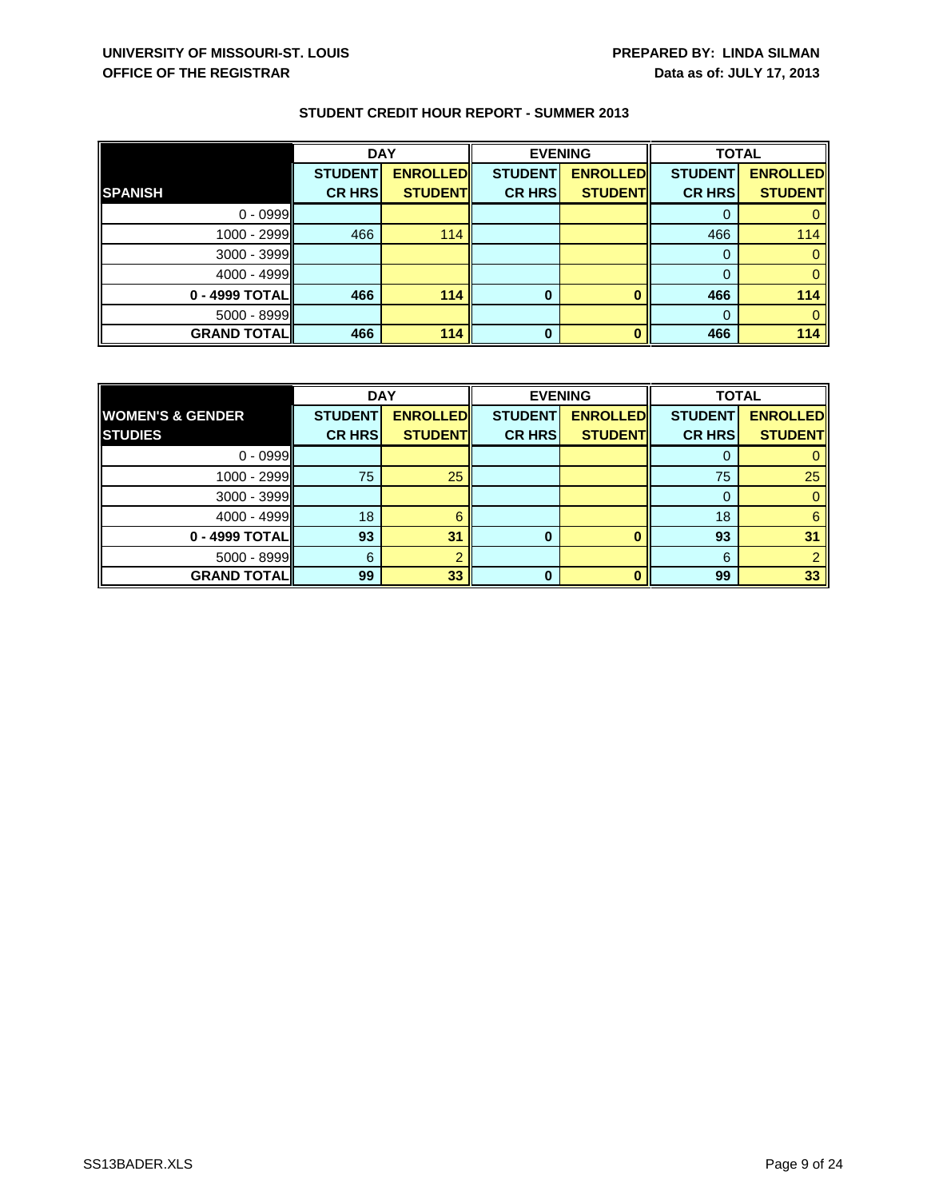|                      | <b>DAY</b>     |                 | <b>EVENING</b> |                 | <b>TOTAL</b>   |                 |
|----------------------|----------------|-----------------|----------------|-----------------|----------------|-----------------|
|                      | <b>STUDENT</b> | <b>ENROLLED</b> | <b>STUDENT</b> | <b>ENROLLED</b> | <b>STUDENT</b> | <b>ENROLLED</b> |
| <b>SPANISH</b>       | <b>CR HRS</b>  | <b>STUDENT</b>  | <b>CR HRS</b>  | <b>STUDENT</b>  | <b>CR HRS</b>  | <b>STUDENT</b>  |
| $0 - 0999$           |                |                 |                |                 |                |                 |
| 1000 - 2999          | 466            | 114             |                |                 | 466            | 114             |
| 3000 - 3999          |                |                 |                |                 |                |                 |
| $4000 - 4999$        |                |                 |                |                 |                |                 |
| $0 - 4999$ TOTAL     | 466            | 114             | 0              |                 | 466            | 114             |
| $5000 - 8999$        |                |                 |                |                 |                |                 |
| <b>GRAND TOTAL  </b> | 466            | 114             | 0              |                 | 466            | 114             |

|                             | <b>DAY</b>     |                 | <b>EVENING</b> |                 | <b>TOTAL</b>   |                 |
|-----------------------------|----------------|-----------------|----------------|-----------------|----------------|-----------------|
| <b>WOMEN'S &amp; GENDER</b> | <b>STUDENT</b> | <b>ENROLLED</b> | <b>STUDENT</b> | <b>ENROLLED</b> | <b>STUDENT</b> | <b>ENROLLED</b> |
| <b>STUDIES</b>              | <b>CR HRS</b>  | <b>STUDENT</b>  | <b>CR HRS</b>  | <b>STUDENT</b>  | <b>CR HRS</b>  | <b>STUDENT</b>  |
| $0 - 0999$                  |                |                 |                |                 |                |                 |
| $1000 - 2999$               | 75             | 25              |                |                 | 75             | 25              |
| $3000 - 3999$               |                |                 |                |                 | 0              |                 |
| $4000 - 4999$               | 18             | 6               |                |                 | 18             | 6               |
| 0 - 4999 TOTAL              | 93             | 31              | 0              |                 | 93             | 31              |
| $5000 - 8999$               | 6              |                 |                |                 | 6              |                 |
| <b>GRAND TOTALI</b>         | 99             | 33              | O              |                 | 99             | 33              |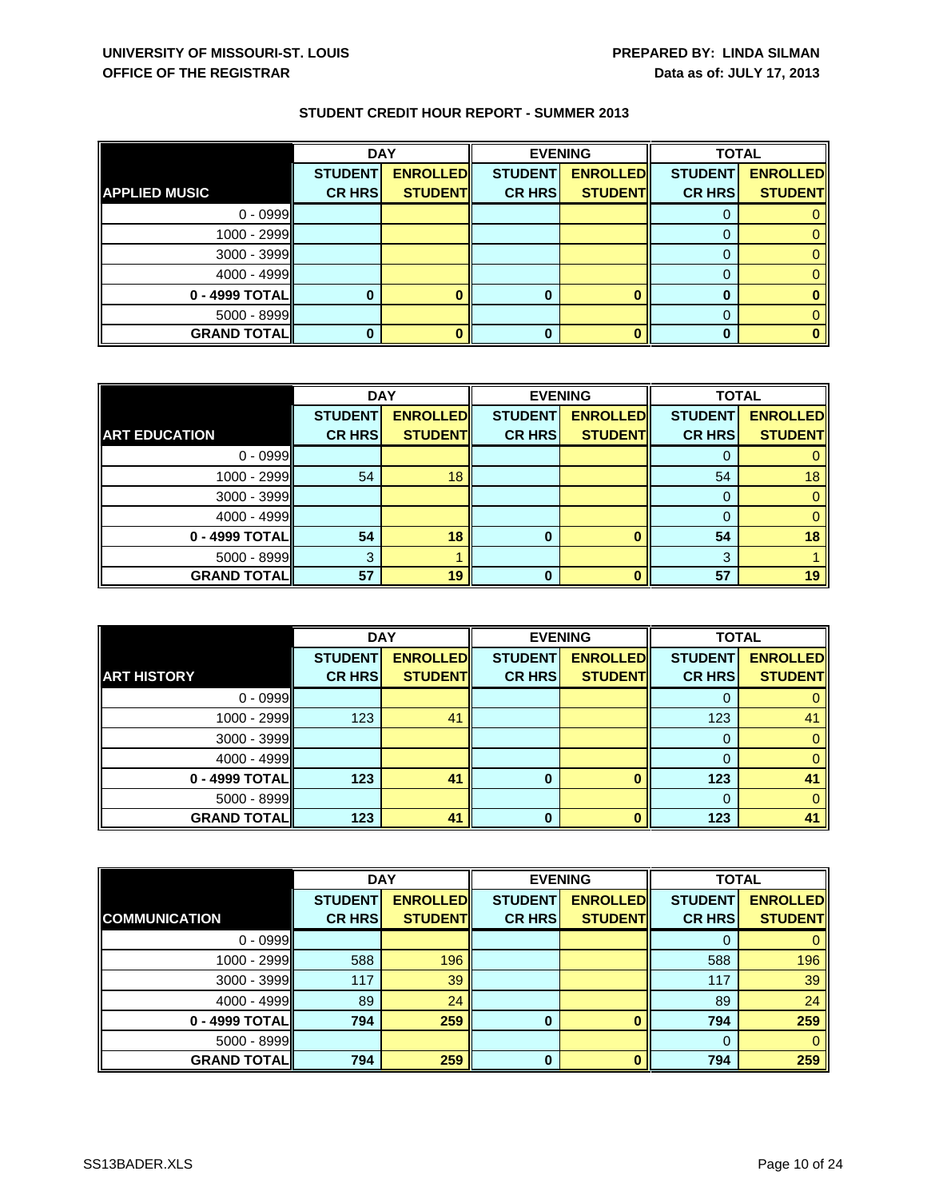|                      | <b>DAY</b>     |                 |                | <b>EVENING</b>  | <b>TOTAL</b>   |                 |
|----------------------|----------------|-----------------|----------------|-----------------|----------------|-----------------|
|                      | <b>STUDENT</b> | <b>ENROLLED</b> | <b>STUDENT</b> | <b>ENROLLED</b> | <b>STUDENT</b> | <b>ENROLLED</b> |
| <b>APPLIED MUSIC</b> | <b>CR HRS</b>  | <b>STUDENT</b>  | <b>CR HRS</b>  | <b>STUDENT</b>  | <b>CR HRS</b>  | <b>STUDENT</b>  |
| $0 - 0999$           |                |                 |                |                 |                |                 |
| $1000 - 2999$        |                |                 |                |                 |                |                 |
| $3000 - 3999$        |                |                 |                |                 |                |                 |
| $4000 - 4999$        |                |                 |                |                 |                |                 |
| 0 - 4999 TOTAL       |                |                 | o              |                 |                |                 |
| $5000 - 8999$        |                |                 |                |                 |                |                 |
| <b>GRAND TOTAL</b>   |                |                 |                |                 |                |                 |

|                      | <b>DAY</b>     |                 | <b>EVENING</b> |                 | <b>TOTAL</b>   |                 |
|----------------------|----------------|-----------------|----------------|-----------------|----------------|-----------------|
|                      | <b>STUDENT</b> | <b>ENROLLED</b> | <b>STUDENT</b> | <b>ENROLLED</b> | <b>STUDENT</b> | <b>ENROLLED</b> |
| <b>ART EDUCATION</b> | <b>CR HRS</b>  | <b>STUDENT</b>  | <b>CR HRS</b>  | <b>STUDENT</b>  | <b>CR HRS</b>  | <b>STUDENT</b>  |
| $0 - 0999$           |                |                 |                |                 |                | 0               |
| 1000 - 2999          | 54             | 18              |                |                 | 54             | 18              |
| $3000 - 3999$        |                |                 |                |                 | 0              | $\mathbf{0}$    |
| $4000 - 4999$        |                |                 |                |                 | $\Omega$       | $\mathbf{0}$    |
| 0 - 4999 TOTAL       | 54             | 18              | 0              |                 | 54             | 18              |
| $5000 - 8999$        | 3              |                 |                |                 | 3              |                 |
| <b>GRAND TOTAL</b>   | 57             | 19              | $\Omega$       |                 | 57             | 19              |

|                    | <b>DAY</b>     |                 | <b>EVENING</b> |                 | <b>TOTAL</b>   |                 |
|--------------------|----------------|-----------------|----------------|-----------------|----------------|-----------------|
|                    | <b>STUDENT</b> | <b>ENROLLED</b> | <b>STUDENT</b> | <b>ENROLLED</b> | <b>STUDENT</b> | <b>ENROLLED</b> |
| <b>ART HISTORY</b> | <b>CR HRS</b>  | <b>STUDENT</b>  | <b>CR HRS</b>  | <b>STUDENT</b>  | <b>CR HRS</b>  | <b>STUDENT</b>  |
| $0 - 0999$         |                |                 |                |                 |                |                 |
| 1000 - 2999        | 123            | 41              |                |                 | 123            | 41              |
| 3000 - 3999        |                |                 |                |                 | 0              | $\Omega$        |
| 4000 - 4999        |                |                 |                |                 |                | $\Omega$        |
| 0 - 4999 TOTAL     | 123            | 41              | 0              |                 | 123            | 41              |
| $5000 - 8999$      |                |                 |                |                 | 0              | $\Omega$        |
| <b>GRAND TOTAL</b> | 123            | 41              | n              |                 | 123            | 41              |

|                      | <b>DAY</b>     |                 | <b>EVENING</b> |                 | <b>TOTAL</b>   |                 |
|----------------------|----------------|-----------------|----------------|-----------------|----------------|-----------------|
|                      | <b>STUDENT</b> | <b>ENROLLED</b> | <b>STUDENT</b> | <b>ENROLLED</b> | <b>STUDENT</b> | <b>ENROLLED</b> |
| <b>COMMUNICATION</b> | <b>CR HRS</b>  | <b>STUDENT</b>  | <b>CR HRS</b>  | <b>STUDENT</b>  | <b>CR HRS</b>  | <b>STUDENT</b>  |
| $0 - 0999$           |                |                 |                |                 | 0              | $\mathbf{0}$    |
| $1000 - 2999$        | 588            | 196             |                |                 | 588            | 196             |
| $3000 - 3999$        | 117            | 39              |                |                 | 117            | 39              |
| $4000 - 4999$        | 89             | 24              |                |                 | 89             | 24              |
| 0 - 4999 TOTAL       | 794            | 259             | 0              |                 | 794            | 259             |
| $5000 - 8999$        |                |                 |                |                 | $\Omega$       | $\Omega$        |
| <b>GRAND TOTAL</b>   | 794            | 259             | 0              |                 | 794            | 259             |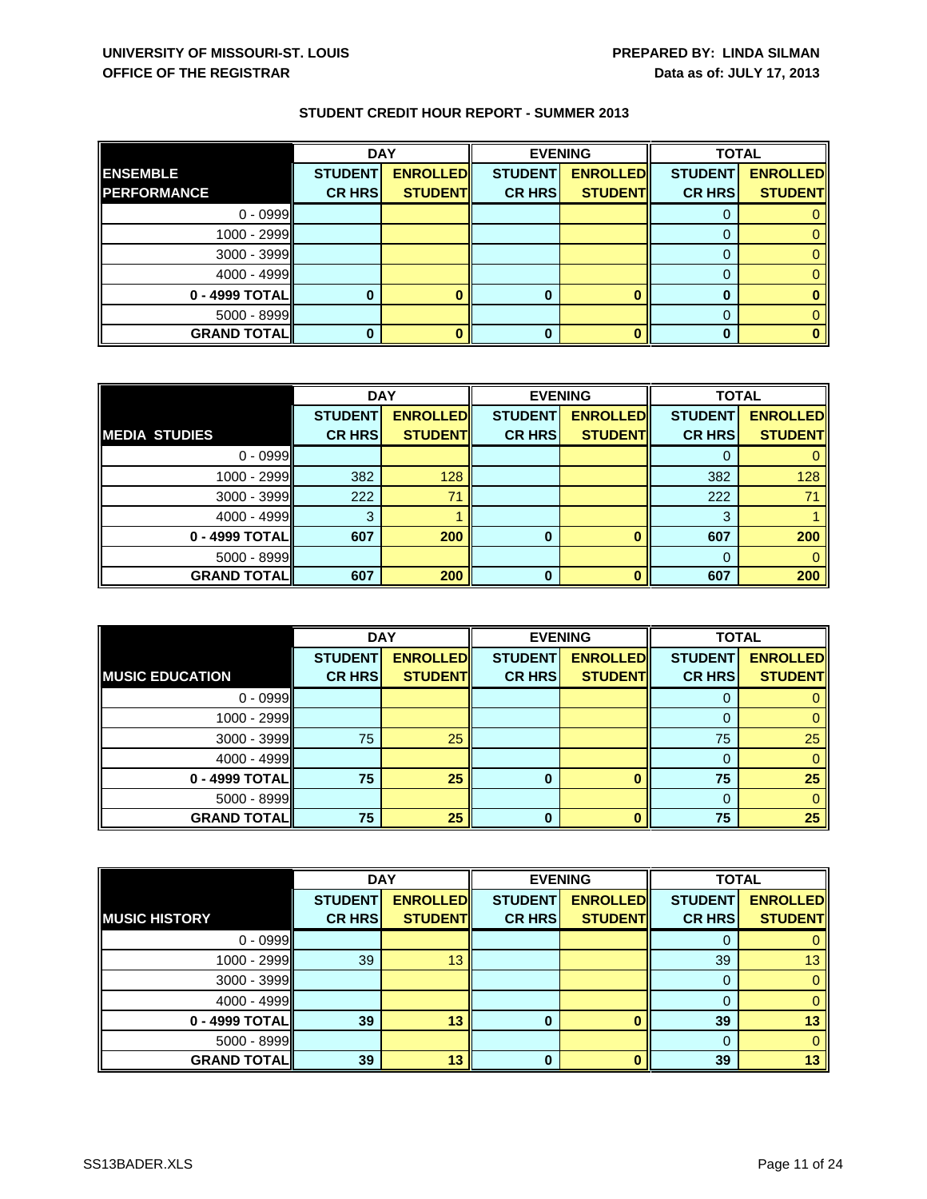|                     | <b>DAY</b>     |                 | <b>EVENING</b> |                 | <b>TOTAL</b>   |                 |
|---------------------|----------------|-----------------|----------------|-----------------|----------------|-----------------|
| <b>ENSEMBLE</b>     | <b>STUDENT</b> | <b>ENROLLED</b> | <b>STUDENT</b> | <b>ENROLLED</b> | <b>STUDENT</b> | <b>ENROLLED</b> |
| <b>IPERFORMANCE</b> | <b>CR HRS</b>  | <b>STUDENT</b>  | <b>CR HRS</b>  | <b>STUDENT</b>  | <b>CR HRS</b>  | <b>STUDENT</b>  |
| $0 - 0999$          |                |                 |                |                 |                |                 |
| 1000 - 2999         |                |                 |                |                 |                |                 |
| $3000 - 3999$       |                |                 |                |                 |                |                 |
| 4000 - 4999         |                |                 |                |                 |                |                 |
| 0 - 4999 TOTAL      |                |                 | 0              |                 |                |                 |
| $5000 - 8999$       |                |                 |                |                 |                |                 |
| <b>GRAND TOTAL</b>  |                |                 |                |                 |                |                 |

|                      | <b>DAY</b>     |                 |                | <b>EVENING</b>  | <b>TOTAL</b>   |                 |
|----------------------|----------------|-----------------|----------------|-----------------|----------------|-----------------|
|                      | <b>STUDENT</b> | <b>ENROLLED</b> | <b>STUDENT</b> | <b>ENROLLED</b> | <b>STUDENT</b> | <b>ENROLLED</b> |
| <b>MEDIA STUDIES</b> | <b>CR HRS</b>  | <b>STUDENT</b>  | <b>CR HRS</b>  | <b>STUDENT</b>  | <b>CR HRS</b>  | <b>STUDENT</b>  |
| $0 - 0999$           |                |                 |                |                 |                |                 |
| $1000 - 2999$        | 382            | 128             |                |                 | 382            | 128             |
| $3000 - 3999$        | 222            | 71              |                |                 | 222            | 71              |
| $4000 - 4999$        | 3              |                 |                |                 | 3              |                 |
| 0 - 4999 TOTAL       | 607            | 200             | $\bf{0}$       |                 | 607            | 200             |
| $5000 - 8999$        |                |                 |                |                 | $\Omega$       |                 |
| <b>GRAND TOTAL</b>   | 607            | 200             | $\bf{0}$       | п               | 607            | 200             |

|                        | <b>DAY</b>     |                 | <b>EVENING</b> |                 | <b>TOTAL</b>   |                 |
|------------------------|----------------|-----------------|----------------|-----------------|----------------|-----------------|
|                        | <b>STUDENT</b> | <b>ENROLLED</b> | <b>STUDENT</b> | <b>ENROLLED</b> | <b>STUDENT</b> | <b>ENROLLED</b> |
| <b>MUSIC EDUCATION</b> | <b>CR HRS</b>  | <b>STUDENT</b>  | <b>CR HRS</b>  | <b>STUDENT</b>  | <b>CR HRS</b>  | <b>STUDENT</b>  |
| $0 - 0999$             |                |                 |                |                 | U              |                 |
| 1000 - 2999            |                |                 |                |                 |                |                 |
| 3000 - 3999            | 75             | 25              |                |                 | 75             | 25              |
| 4000 - 4999            |                |                 |                |                 |                |                 |
| 0 - 4999 TOTAL         | 75             | 25              | 0              |                 | 75             | 25              |
| 5000 - 8999            |                |                 |                |                 | 0              |                 |
| <b>GRAND TOTAL</b>     | 75             | 25              | <sup>0</sup>   |                 | 75             | 25              |

|                      | <b>DAY</b>     |                 | <b>EVENING</b> |                 | <b>TOTAL</b>   |                 |
|----------------------|----------------|-----------------|----------------|-----------------|----------------|-----------------|
|                      | <b>STUDENT</b> | <b>ENROLLED</b> | <b>STUDENT</b> | <b>ENROLLED</b> | <b>STUDENT</b> | <b>ENROLLED</b> |
| <b>MUSIC HISTORY</b> | <b>CR HRS</b>  | <b>STUDENT</b>  | <b>CR HRS</b>  | <b>STUDENT</b>  | <b>CR HRS</b>  | <b>STUDENT</b>  |
| $0 - 0999$           |                |                 |                |                 | O              |                 |
| 1000 - 2999          | 39             | 13              |                |                 | 39             | 13              |
| 3000 - 3999          |                |                 |                |                 | $\Omega$       |                 |
| $4000 - 4999$        |                |                 |                |                 | 0              |                 |
| 0 - 4999 TOTALI      | 39             | 13              | 0              |                 | 39             | 13              |
| $5000 - 8999$        |                |                 |                |                 | $\Omega$       |                 |
| <b>GRAND TOTAL  </b> | 39             | 13              | 0              |                 | 39             | 13              |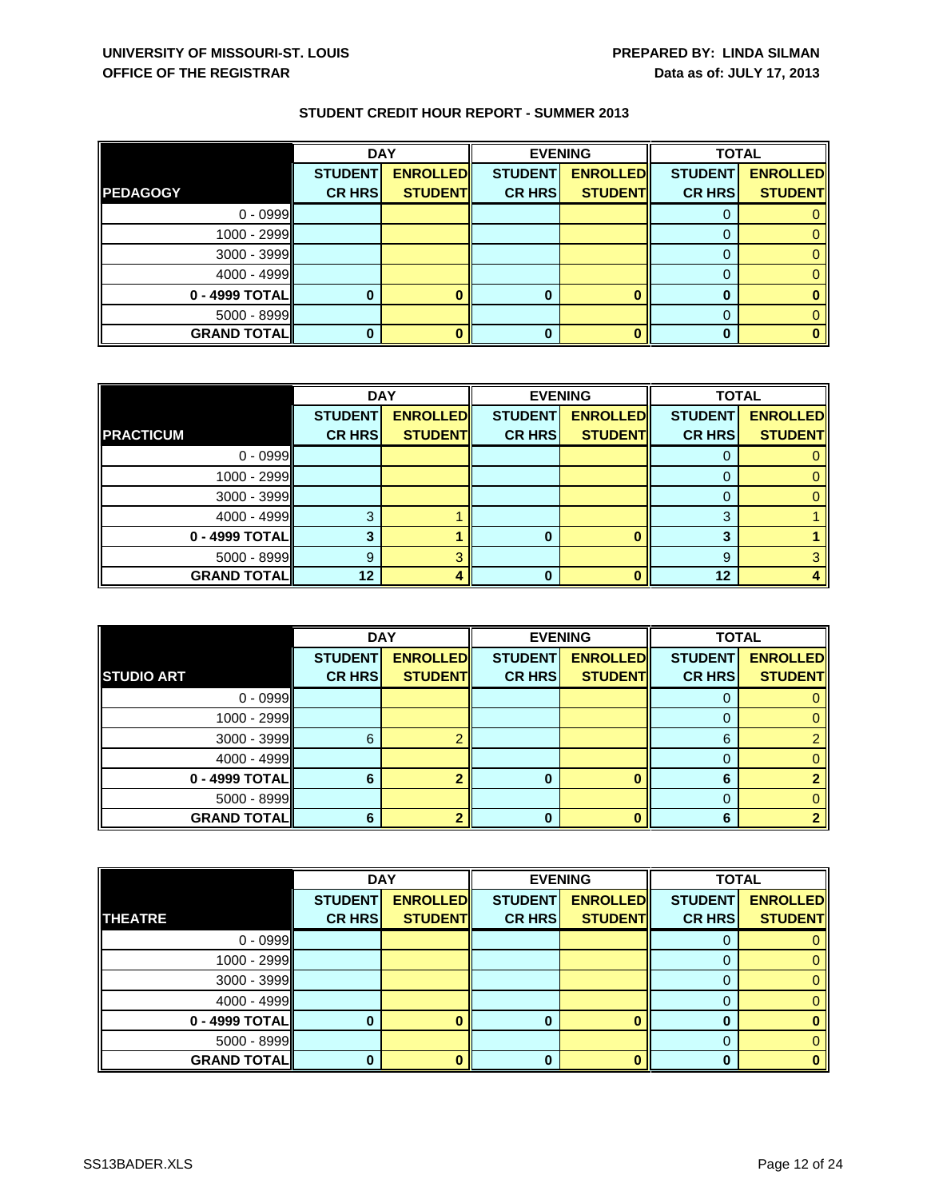|                      | <b>DAY</b>     |                 | <b>EVENING</b> |                 |                | <b>TOTAL</b>    |  |
|----------------------|----------------|-----------------|----------------|-----------------|----------------|-----------------|--|
|                      | <b>STUDENT</b> | <b>ENROLLED</b> | <b>STUDENT</b> | <b>ENROLLED</b> | <b>STUDENT</b> | <b>ENROLLED</b> |  |
| <b>PEDAGOGY</b>      | <b>CR HRS</b>  | <b>STUDENT</b>  | <b>CR HRS</b>  | <b>STUDENT</b>  | <b>CR HRS</b>  | <b>STUDENT</b>  |  |
| $0 - 0999$           |                |                 |                |                 |                |                 |  |
| 1000 - 2999          |                |                 |                |                 |                |                 |  |
| 3000 - 3999          |                |                 |                |                 |                |                 |  |
| $4000 - 4999$        |                |                 |                |                 |                |                 |  |
| 0 - 4999 TOTAL       |                |                 | 0              |                 | 0              |                 |  |
| $5000 - 8999$        |                |                 |                |                 |                |                 |  |
| <b>GRAND TOTAL  </b> | 0              |                 | 0              |                 | $\bf{0}$       |                 |  |

|                    | <b>DAY</b>     |                 |                | <b>EVENING</b>  | <b>TOTAL</b>   |                 |
|--------------------|----------------|-----------------|----------------|-----------------|----------------|-----------------|
|                    | <b>STUDENT</b> | <b>ENROLLED</b> | <b>STUDENT</b> | <b>ENROLLED</b> | <b>STUDENT</b> | <b>ENROLLED</b> |
| <b>PRACTICUM</b>   | <b>CR HRS</b>  | <b>STUDENT</b>  | <b>CR HRS</b>  | <b>STUDENT</b>  | <b>CR HRS</b>  | <b>STUDENT</b>  |
| $0 - 0999$         |                |                 |                |                 |                |                 |
| $1000 - 2999$      |                |                 |                |                 |                |                 |
| $3000 - 3999$      |                |                 |                |                 |                |                 |
| $4000 - 4999$      | ົ              |                 |                |                 | 3              |                 |
| 0 - 4999 TOTAL     |                |                 | 0              |                 | 3              |                 |
| $5000 - 8999$      | 9              |                 |                |                 | 9              |                 |
| <b>GRAND TOTAL</b> | 12             |                 | ŋ              |                 | 12             |                 |

|                      | <b>DAY</b>     |                 | <b>EVENING</b> |                 | <b>TOTAL</b>   |                 |
|----------------------|----------------|-----------------|----------------|-----------------|----------------|-----------------|
|                      | <b>STUDENT</b> | <b>ENROLLED</b> | <b>STUDENT</b> | <b>ENROLLED</b> | <b>STUDENT</b> | <b>ENROLLED</b> |
| <b>STUDIO ART</b>    | <b>CR HRS</b>  | <b>STUDENT</b>  | <b>CR HRS</b>  | <b>STUDENT</b>  | <b>CR HRS</b>  | <b>STUDENT</b>  |
| $0 - 0999$           |                |                 |                |                 |                |                 |
| 1000 - 2999          |                |                 |                |                 |                |                 |
| 3000 - 3999          | 6              |                 |                |                 | 6              |                 |
| $4000 - 4999$        |                |                 |                |                 |                |                 |
| 0 - 4999 TOTAL       | 6              |                 | O              |                 | 6              |                 |
| 5000 - 8999          |                |                 |                |                 | 0              |                 |
| <b>GRAND TOTAL  </b> | 6              |                 | n              |                 | 6              |                 |

|                    | <b>DAY</b>     |                 | <b>EVENING</b> |                 | <b>TOTAL</b>   |                 |
|--------------------|----------------|-----------------|----------------|-----------------|----------------|-----------------|
|                    | <b>STUDENT</b> | <b>ENROLLED</b> | <b>STUDENT</b> | <b>ENROLLED</b> | <b>STUDENT</b> | <b>ENROLLED</b> |
| <b>THEATRE</b>     | <b>CR HRS</b>  | <b>STUDENT</b>  | <b>CR HRS</b>  | <b>STUDENT</b>  | <b>CR HRS</b>  | <b>STUDENT</b>  |
| $0 - 0999$         |                |                 |                |                 | O              |                 |
| 1000 - 2999        |                |                 |                |                 |                |                 |
| 3000 - 3999        |                |                 |                |                 |                |                 |
| 4000 - 4999        |                |                 |                |                 |                |                 |
| 0 - 4999 TOTAL     | n              |                 | 0              |                 | O              |                 |
| 5000 - 8999        |                |                 |                |                 |                |                 |
| <b>GRAND TOTAL</b> | O              |                 | 0              |                 |                |                 |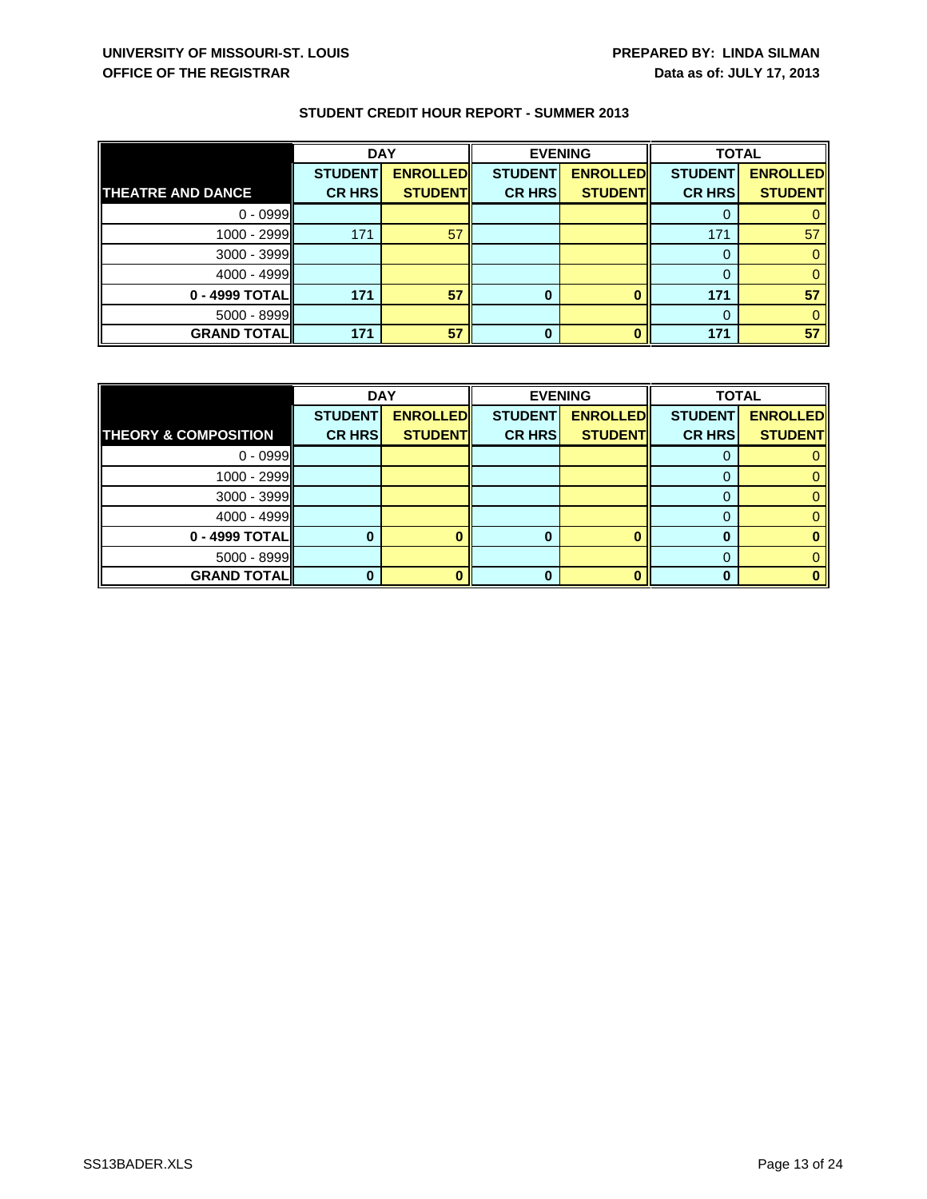|                          | <b>DAY</b>     |                 |                | <b>EVENING</b>  | <b>TOTAL</b>   |                 |
|--------------------------|----------------|-----------------|----------------|-----------------|----------------|-----------------|
|                          | <b>STUDENT</b> | <b>ENROLLED</b> | <b>STUDENT</b> | <b>ENROLLED</b> | <b>STUDENT</b> | <b>ENROLLED</b> |
| <b>THEATRE AND DANCE</b> | <b>CR HRS</b>  | <b>STUDENT</b>  | <b>CR HRSI</b> | <b>STUDENT</b>  | <b>CR HRS</b>  | <b>STUDENT</b>  |
| $0 - 0999$               |                |                 |                |                 |                |                 |
| $1000 - 2999$            | 171            | 57              |                |                 | 171            | 57              |
| 3000 - 3999              |                |                 |                |                 |                |                 |
| $4000 - 4999$            |                |                 |                |                 |                |                 |
| $0 - 4999$ TOTAL         | 171            | 57              |                |                 | 171            | 57              |
| $5000 - 8999$            |                |                 |                |                 |                |                 |
| <b>GRAND TOTAL</b>       | 171            | 57              | 0              |                 | 171            | 57              |

|                                 | <b>DAY</b>     |                 | <b>EVENING</b> |                 | <b>TOTAL</b>   |                 |
|---------------------------------|----------------|-----------------|----------------|-----------------|----------------|-----------------|
|                                 | <b>STUDENT</b> | <b>ENROLLED</b> | <b>STUDENT</b> | <b>ENROLLED</b> | <b>STUDENT</b> | <b>ENROLLED</b> |
| <b>THEORY &amp; COMPOSITION</b> | <b>CR HRS</b>  | <b>STUDENT</b>  | <b>CR HRS</b>  | <b>STUDENT</b>  | <b>CR HRS</b>  | <b>STUDENT</b>  |
| $0 - 0999$                      |                |                 |                |                 |                |                 |
| $1000 - 2999$                   |                |                 |                |                 |                | 0               |
| $3000 - 3999$                   |                |                 |                |                 |                | 0.              |
| $4000 - 4999$                   |                |                 |                |                 |                | 0               |
| $0 - 4999$ TOTAL                |                |                 | 0              |                 | O              |                 |
| $5000 - 8999$                   |                |                 |                |                 |                | 0               |
| <b>GRAND TOTALI</b>             |                |                 | O              |                 | O              |                 |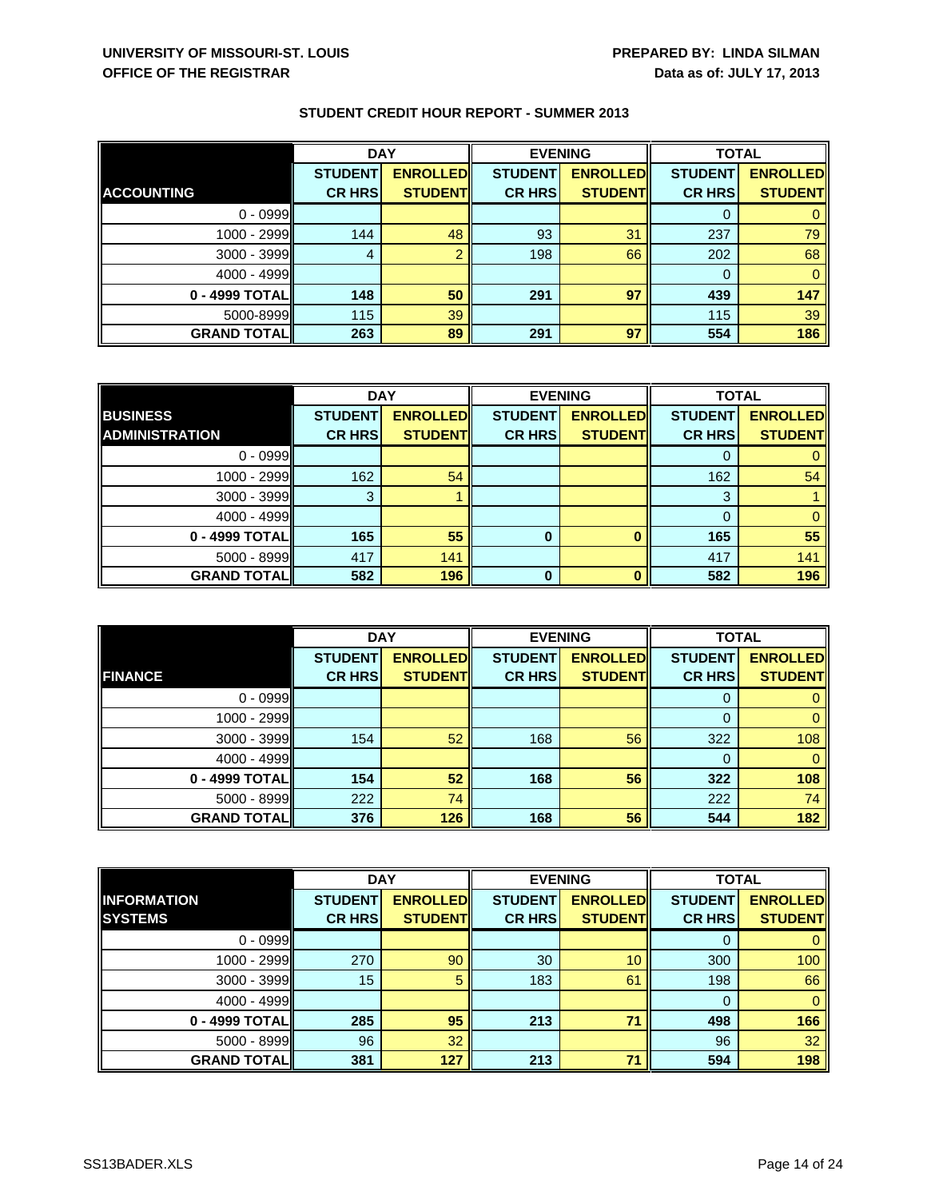|                      | <b>DAY</b>     |                 | <b>EVENING</b> |                 | <b>TOTAL</b>   |                 |
|----------------------|----------------|-----------------|----------------|-----------------|----------------|-----------------|
|                      | <b>STUDENT</b> | <b>ENROLLED</b> | <b>STUDENT</b> | <b>ENROLLED</b> | <b>STUDENT</b> | <b>ENROLLED</b> |
| <b>ACCOUNTING</b>    | <b>CR HRS</b>  | <b>STUDENT</b>  | <b>CR HRS</b>  | <b>STUDENT</b>  | <b>CR HRS</b>  | <b>STUDENT</b>  |
| $0 - 0999$           |                |                 |                |                 |                |                 |
| 1000 - 2999          | 144            | 48              | 93             | 31              | 237            | 79              |
| 3000 - 3999          | 4              |                 | 198            | 66              | 202            | 68              |
| 4000 - 4999          |                |                 |                |                 |                |                 |
| 0 - 4999 TOTAL       | 148            | 50              | 291            | 97              | 439            | 147             |
| 5000-8999            | 115            | 39              |                |                 | 115            | 39              |
| <b>GRAND TOTAL  </b> | 263            | 89              | 291            | 97              | 554            | 186             |

|                       | <b>DAY</b>     |                 | <b>EVENING</b> |                 | <b>TOTAL</b>   |                 |
|-----------------------|----------------|-----------------|----------------|-----------------|----------------|-----------------|
| <b>BUSINESS</b>       | <b>STUDENT</b> | <b>ENROLLED</b> | <b>STUDENT</b> | <b>ENROLLED</b> | <b>STUDENT</b> | <b>ENROLLED</b> |
| <b>ADMINISTRATION</b> | <b>CR HRS</b>  | <b>STUDENT</b>  | <b>CR HRS</b>  | <b>STUDENT</b>  | <b>CR HRS</b>  | <b>STUDENT</b>  |
| $0 - 0999$            |                |                 |                |                 |                |                 |
| $1000 - 2999$         | 162            | 54              |                |                 | 162            | 54              |
| $3000 - 3999$         | 3              |                 |                |                 | 3              |                 |
| $4000 - 4999$         |                |                 |                |                 |                |                 |
| 0 - 4999 TOTAL        | 165            | 55              | $\bf{0}$       |                 | 165            | 55              |
| 5000 - 8999           | 417            | 141             |                |                 | 417            | 141             |
| <b>GRAND TOTALI</b>   | 582            | 196             | $\bf{0}$       |                 | 582            | 196             |

|                      | <b>DAY</b>     |                 | <b>EVENING</b> |                 | <b>TOTAL</b>   |                 |
|----------------------|----------------|-----------------|----------------|-----------------|----------------|-----------------|
|                      | <b>STUDENT</b> | <b>ENROLLED</b> | <b>STUDENT</b> | <b>ENROLLED</b> | <b>STUDENT</b> | <b>ENROLLED</b> |
| <b>FINANCE</b>       | <b>CR HRS</b>  | <b>STUDENT</b>  | <b>CR HRS</b>  | <b>STUDENT</b>  | <b>CR HRS</b>  | <b>STUDENT</b>  |
| $0 - 0999$           |                |                 |                |                 | 0              |                 |
| 1000 - 2999          |                |                 |                |                 |                |                 |
| 3000 - 3999          | 154            | 52              | 168            | 56              | 322            | 108             |
| 4000 - 4999          |                |                 |                |                 |                | 0               |
| 0 - 4999 TOTAL       | 154            | 52              | 168            | 56              | 322            | 108             |
| 5000 - 8999          | 222            | 74              |                |                 | 222            | 74              |
| <b>GRAND TOTAL  </b> | 376            | 126             | 168            | 56              | 544            | 182             |

|                     | <b>DAY</b>     |                 | <b>EVENING</b> |                 | <b>TOTAL</b>   |                 |
|---------------------|----------------|-----------------|----------------|-----------------|----------------|-----------------|
| <b>INFORMATION</b>  | <b>STUDENT</b> | <b>ENROLLED</b> | <b>STUDENT</b> | <b>ENROLLED</b> | <b>STUDENT</b> | <b>ENROLLED</b> |
| <b>SYSTEMS</b>      | <b>CR HRS</b>  | <b>STUDENT</b>  | <b>CR HRS</b>  | <b>STUDENTI</b> | <b>CR HRS</b>  | <b>STUDENT</b>  |
| $0 - 0999$          |                |                 |                |                 | 0              | 0               |
| $1000 - 2999$       | 270            | 90              | 30             | 10              | 300            | 100             |
| $3000 - 3999$       | 15             | 5               | 183            | 61              | 198            | 66              |
| $4000 - 4999$       |                |                 |                |                 | 0              | $\mathbf{0}$    |
| 0 - 4999 TOTALI     | 285            | 95              | 213            | 71              | 498            | 166             |
| $5000 - 8999$       | 96             | 32              |                |                 | 96             | 32              |
| <b>GRAND TOTALI</b> | 381            | 127             | 213            | 71              | 594            | 198             |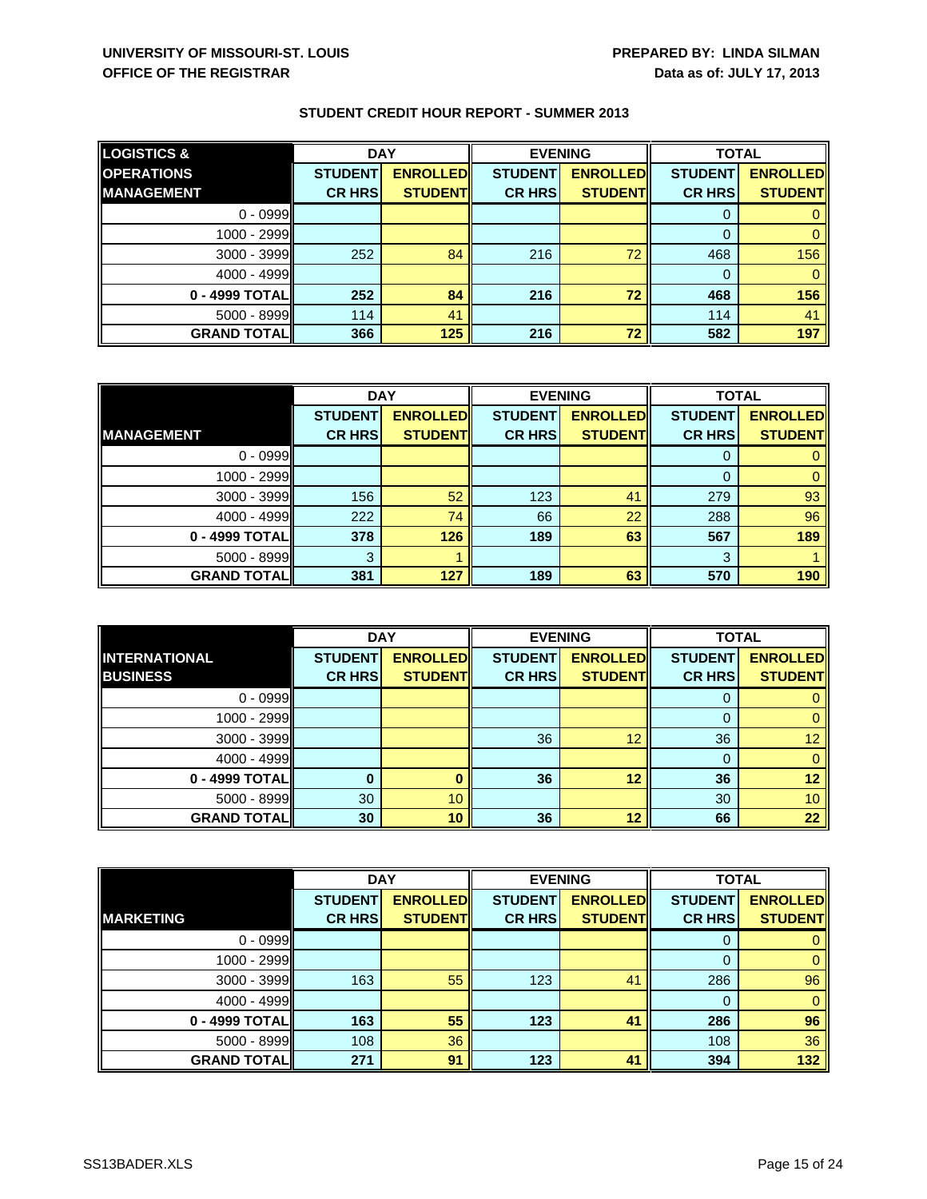|  |  |  | <b>STUDENT CREDIT HOUR REPORT - SUMMER 2013</b> |
|--|--|--|-------------------------------------------------|
|--|--|--|-------------------------------------------------|

| <b>LOGISTICS &amp;</b> | <b>DAY</b>     |                  | <b>EVENING</b> |                 | <b>TOTAL</b>   |                 |
|------------------------|----------------|------------------|----------------|-----------------|----------------|-----------------|
| <b>OPERATIONS</b>      | <b>STUDENT</b> | <b>ENROLLEDI</b> | <b>STUDENT</b> | <b>ENROLLED</b> | <b>STUDENT</b> | <b>ENROLLED</b> |
| <b>IMANAGEMENT</b>     | <b>CR HRS</b>  | <b>STUDENTI</b>  | <b>CR HRSI</b> | <b>STUDENTI</b> | <b>CR HRSI</b> | <b>STUDENT</b>  |
| $0 - 0999$             |                |                  |                |                 |                |                 |
| $1000 - 2999$          |                |                  |                |                 |                |                 |
| $3000 - 3999$          | 252            | 84               | 216            | 72              | 468            | 156             |
| $4000 - 4999$          |                |                  |                |                 |                |                 |
| 0 - 4999 TOTALI        | 252            | 84               | 216            | 72              | 468            | 156             |
| $5000 - 8999$          | 114            | 41               |                |                 | 114            | 41              |
| <b>GRAND TOTAL</b>     | 366            | 125              | 216            | 72              | 582            | 197             |

|                     | <b>DAY</b>     |                 | <b>EVENING</b> |                 | <b>TOTAL</b>   |                 |
|---------------------|----------------|-----------------|----------------|-----------------|----------------|-----------------|
|                     | <b>STUDENT</b> | <b>ENROLLED</b> | <b>STUDENT</b> | <b>ENROLLED</b> | <b>STUDENT</b> | <b>ENROLLED</b> |
| <b>MANAGEMENT</b>   | <b>CR HRS</b>  | <b>STUDENT</b>  | <b>CR HRS</b>  | <b>STUDENT</b>  | <b>CR HRS</b>  | <b>STUDENT</b>  |
| $0 - 0999$          |                |                 |                |                 |                |                 |
| $1000 - 2999$       |                |                 |                |                 | 0              |                 |
| $3000 - 3999$       | 156            | 52              | 123            | 41              | 279            | 93              |
| 4000 - 4999         | 222            | 74              | 66             | 22              | 288            | 96              |
| 0 - 4999 TOTAL      | 378            | 126             | 189            | 63              | 567            | 189             |
| 5000 - 8999         | 3              |                 |                |                 | 3              |                 |
| <b>GRAND TOTALI</b> | 381            | 127             | 189            | 63              | 570            | 190             |

|                      | <b>DAY</b><br><b>EVENING</b> |                 |                | <b>TOTAL</b>    |                |                 |
|----------------------|------------------------------|-----------------|----------------|-----------------|----------------|-----------------|
| <b>INTERNATIONAL</b> | <b>STUDENT</b>               | <b>ENROLLED</b> | <b>STUDENT</b> | <b>ENROLLED</b> | <b>STUDENT</b> | <b>ENROLLED</b> |
| <b>BUSINESS</b>      | <b>CR HRS</b>                | <b>STUDENT</b>  | <b>CR HRS</b>  | <b>STUDENT</b>  | <b>CR HRS</b>  | <b>STUDENT</b>  |
| $0 - 0999$           |                              |                 |                |                 | υ              |                 |
| 1000 - 2999          |                              |                 |                |                 |                |                 |
| 3000 - 3999          |                              |                 | 36             | 12              | 36             | 12              |
| 4000 - 4999          |                              |                 |                |                 |                |                 |
| 0 - 4999 TOTAL       |                              |                 | 36             | 12              | 36             | 12              |
| 5000 - 8999          | 30                           | 10              |                |                 | 30             | 10 <sup>1</sup> |
| <b>GRAND TOTAL</b>   | 30                           | 10              | 36             | 12              | 66             | 22              |

|                     | <b>DAY</b>     |                 | <b>EVENING</b> |                 | <b>TOTAL</b>   |                 |
|---------------------|----------------|-----------------|----------------|-----------------|----------------|-----------------|
|                     | <b>STUDENT</b> | <b>ENROLLED</b> | <b>STUDENT</b> | <b>ENROLLED</b> | <b>STUDENT</b> | <b>ENROLLED</b> |
| <b>MARKETING</b>    | <b>CR HRS</b>  | <b>STUDENT</b>  | <b>CR HRS</b>  | <b>STUDENT</b>  | <b>CR HRS</b>  | <b>STUDENT</b>  |
| $0 - 0999$          |                |                 |                |                 | 0              |                 |
| 1000 - 2999         |                |                 |                |                 | $\Omega$       | 0               |
| 3000 - 3999         | 163            | 55              | 123            | 41              | 286            | 96              |
| $4000 - 4999$       |                |                 |                |                 |                | 0               |
| 0 - 4999 TOTAL      | 163            | 55              | 123            | 41              | 286            | 96              |
| 5000 - 8999         | 108            | 36              |                |                 | 108            | 36              |
| <b>GRAND TOTALI</b> | 271            | 91              | 123            | 41              | 394            | 132             |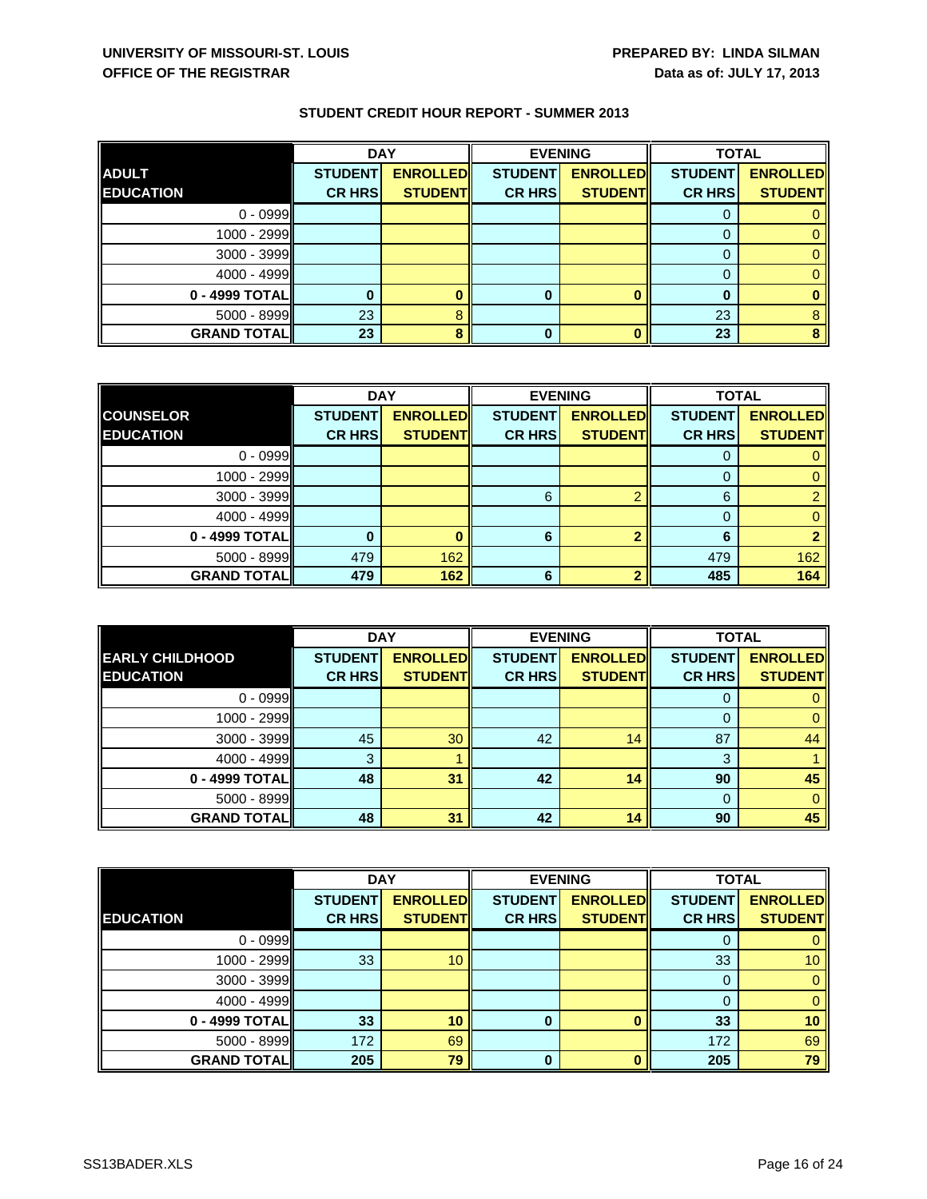|                    | <b>DAY</b>     |                 | <b>EVENING</b> |                 | <b>TOTAL</b>   |                 |
|--------------------|----------------|-----------------|----------------|-----------------|----------------|-----------------|
| <b>ADULT</b>       | <b>STUDENT</b> | <b>ENROLLED</b> | <b>STUDENT</b> | <b>ENROLLED</b> | <b>STUDENT</b> | <b>ENROLLED</b> |
| <b>EDUCATION</b>   | <b>CR HRS</b>  | <b>STUDENT</b>  | <b>CR HRS</b>  | <b>STUDENT</b>  | <b>CR HRS</b>  | <b>STUDENT</b>  |
| $0 - 0999$         |                |                 |                |                 |                |                 |
| 1000 - 2999        |                |                 |                |                 |                |                 |
| 3000 - 3999        |                |                 |                |                 |                |                 |
| $4000 - 4999$      |                |                 |                |                 |                |                 |
| 0 - 4999 TOTAL     |                |                 | 0              |                 |                |                 |
| $5000 - 8999$      | 23             |                 |                |                 | 23             |                 |
| <b>GRAND TOTAL</b> | 23             |                 |                |                 | 23             | 8               |

|                     | <b>DAY</b>     |                 | <b>EVENING</b> |                 | <b>TOTAL</b>   |                 |
|---------------------|----------------|-----------------|----------------|-----------------|----------------|-----------------|
| <b>COUNSELOR</b>    | <b>STUDENT</b> | <b>ENROLLED</b> | <b>STUDENT</b> | <b>ENROLLED</b> | <b>STUDENT</b> | <b>ENROLLED</b> |
| <b>EDUCATION</b>    | <b>CR HRS</b>  | <b>STUDENT</b>  | <b>CR HRS</b>  | <b>STUDENT</b>  | <b>CR HRS</b>  | <b>STUDENT</b>  |
| $0 - 0999$          |                |                 |                |                 |                |                 |
| $1000 - 2999$       |                |                 |                |                 |                |                 |
| $3000 - 3999$       |                |                 | 6              |                 | 6              |                 |
| $4000 - 4999$       |                |                 |                |                 |                |                 |
| 0 - 4999 TOTAL      |                |                 | 6              |                 | 6              |                 |
| 5000 - 8999         | 479            | 162             |                |                 | 479            | 162             |
| <b>GRAND TOTALI</b> | 479            | 162             | 6              |                 | 485            | 164             |

|                        | <b>DAY</b>     |                 | <b>EVENING</b> |                 | <b>TOTAL</b>   |                 |
|------------------------|----------------|-----------------|----------------|-----------------|----------------|-----------------|
| <b>EARLY CHILDHOOD</b> | <b>STUDENT</b> | <b>ENROLLED</b> | <b>STUDENT</b> | <b>ENROLLED</b> | <b>STUDENT</b> | <b>ENROLLED</b> |
| <b>EDUCATION</b>       | <b>CR HRS</b>  | <b>STUDENT</b>  | <b>CR HRS</b>  | <b>STUDENT</b>  | <b>CR HRS</b>  | <b>STUDENT</b>  |
| $0 - 0999$             |                |                 |                |                 |                |                 |
| 1000 - 2999            |                |                 |                |                 |                |                 |
| 3000 - 3999            | 45             | 30              | 42             | 14              | 87             | 44              |
| 4000 - 4999            | 3              |                 |                |                 | 3              |                 |
| 0 - 4999 TOTAL         | 48             | 31              | 42             | 14              | 90             | 45              |
| 5000 - 8999            |                |                 |                |                 | 0              |                 |
| <b>GRAND TOTAL</b>     | 48             | 31              | 42             | 14              | 90             | 45              |

|                    | <b>DAY</b>     |                 | <b>EVENING</b> |                 | <b>TOTAL</b>   |                 |
|--------------------|----------------|-----------------|----------------|-----------------|----------------|-----------------|
|                    | <b>STUDENT</b> | <b>ENROLLED</b> | <b>STUDENT</b> | <b>ENROLLED</b> | <b>STUDENT</b> | <b>ENROLLED</b> |
| <b>EDUCATION</b>   | <b>CR HRS</b>  | <b>STUDENT</b>  | <b>CR HRS</b>  | <b>STUDENT</b>  | <b>CR HRS</b>  | <b>STUDENT</b>  |
| $0 - 0999$         |                |                 |                |                 | 0              | 0               |
| 1000 - 2999        | 33             | 10              |                |                 | 33             | 10 <sup>°</sup> |
| 3000 - 3999        |                |                 |                |                 | $\Omega$       | $\Omega$        |
| 4000 - 4999        |                |                 |                |                 | 0              | $\mathbf{0}$    |
| 0 - 4999 TOTAL     | 33             | 10              | 0              |                 | 33             | 10 <sup>°</sup> |
| 5000 - 8999        | 172            | 69              |                |                 | 172            | 69              |
| <b>GRAND TOTAL</b> | 205            | 79              | 0              |                 | 205            | 79              |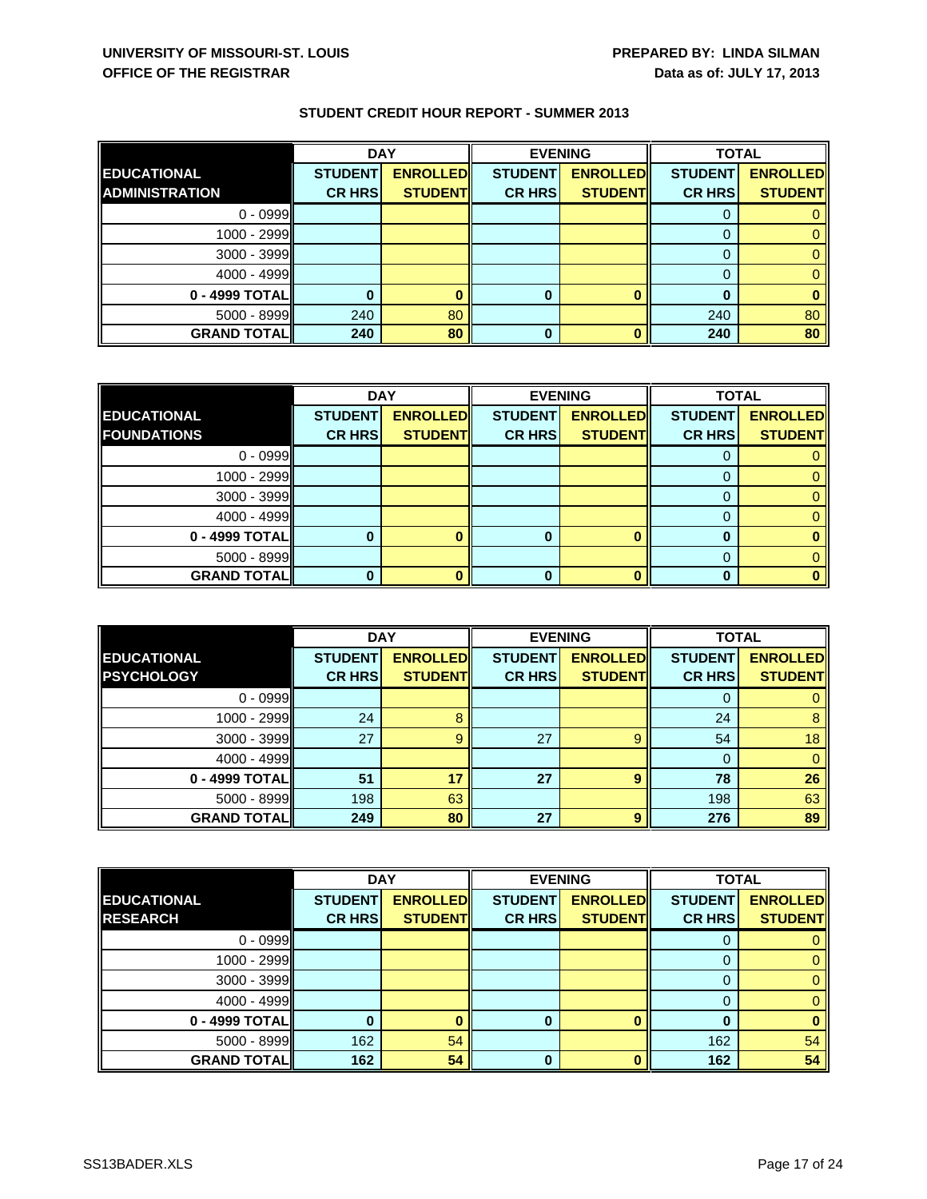|                       | <b>DAY</b>     |                 |                | <b>EVENING</b>  | <b>TOTAL</b>   |                 |
|-----------------------|----------------|-----------------|----------------|-----------------|----------------|-----------------|
| EDUCATIONAL           | <b>STUDENT</b> | <b>ENROLLED</b> | <b>STUDENT</b> | <b>ENROLLED</b> | <b>STUDENT</b> | <b>ENROLLED</b> |
| <b>ADMINISTRATION</b> | <b>CR HRS</b>  | <b>STUDENT</b>  | <b>CR HRSI</b> | <b>STUDENT</b>  | <b>CR HRS</b>  | <b>STUDENT</b>  |
| $0 - 0999$            |                |                 |                |                 |                |                 |
| $1000 - 2999$         |                |                 |                |                 |                |                 |
| $3000 - 3999$         |                |                 |                |                 |                |                 |
| $4000 - 4999$         |                |                 |                |                 |                |                 |
| 0 - 4999 TOTAL        |                |                 | 0              |                 |                |                 |
| $5000 - 8999$         | 240            | 80              |                |                 | 240            | 80              |
| <b>GRAND TOTAL</b>    | 240            | 80              | 0              |                 | 240            | 80              |

|                     | <b>DAY</b>     |                 | <b>EVENING</b> |                 | <b>TOTAL</b>   |                 |
|---------------------|----------------|-----------------|----------------|-----------------|----------------|-----------------|
| <b>EDUCATIONAL</b>  | <b>STUDENT</b> | <b>ENROLLED</b> | <b>STUDENT</b> | <b>ENROLLED</b> | <b>STUDENT</b> | <b>ENROLLED</b> |
| <b>FOUNDATIONS</b>  | <b>CR HRS</b>  | <b>STUDENT</b>  | <b>CR HRS</b>  | <b>STUDENT</b>  | <b>CR HRS</b>  | <b>STUDENT</b>  |
| $0 - 0999$          |                |                 |                |                 |                |                 |
| $1000 - 2999$       |                |                 |                |                 |                |                 |
| $3000 - 3999$       |                |                 |                |                 |                |                 |
| $4000 - 4999$       |                |                 |                |                 |                |                 |
| 0 - 4999 TOTAL      |                |                 | 0              |                 |                |                 |
| 5000 - 8999         |                |                 |                |                 |                |                 |
| <b>GRAND TOTALI</b> |                |                 | O              |                 | n              |                 |

|                    | <b>DAY</b>     |                 | <b>EVENING</b> |                 | <b>TOTAL</b>   |                 |
|--------------------|----------------|-----------------|----------------|-----------------|----------------|-----------------|
| <b>EDUCATIONAL</b> | <b>STUDENT</b> | <b>ENROLLED</b> | <b>STUDENT</b> | <b>ENROLLED</b> | <b>STUDENT</b> | <b>ENROLLED</b> |
| <b>PSYCHOLOGY</b>  | <b>CR HRS</b>  | <b>STUDENT</b>  | <b>CR HRS</b>  | <b>STUDENT</b>  | <b>CR HRS</b>  | <b>STUDENT</b>  |
| $0 - 0999$         |                |                 |                |                 |                |                 |
| 1000 - 2999        | 24             |                 |                |                 | 24             | 8               |
| 3000 - 3999        | 27             | 9               | 27             | g               | 54             | 18              |
| 4000 - 4999        |                |                 |                |                 |                |                 |
| 0 - 4999 TOTAL     | 51             | 17              | 27             | q               | 78             | 26              |
| $5000 - 8999$      | 198            | 63              |                |                 | 198            | 63              |
| <b>GRAND TOTAL</b> | 249            | 80              | 27             | q               | 276            | 89              |

|                     | <b>DAY</b>     |                 | <b>EVENING</b> |                 | <b>TOTAL</b>   |                 |
|---------------------|----------------|-----------------|----------------|-----------------|----------------|-----------------|
| <b>EDUCATIONAL</b>  | <b>STUDENT</b> | <b>ENROLLED</b> | <b>STUDENT</b> | <b>ENROLLED</b> | <b>STUDENT</b> | <b>ENROLLED</b> |
| <b>RESEARCH</b>     | <b>CR HRS</b>  | <b>STUDENT</b>  | <b>CR HRS</b>  | <b>STUDENT</b>  | <b>CR HRS</b>  | <b>STUDENT</b>  |
| $0 - 0999$          |                |                 |                |                 | O              |                 |
| 1000 - 2999         |                |                 |                |                 |                |                 |
| 3000 - 3999         |                |                 |                |                 |                |                 |
| $4000 - 4999$       |                |                 |                |                 |                |                 |
| 0 - 4999 TOTAL      | n              |                 | 0              |                 | ŋ              |                 |
| 5000 - 8999         | 162            | 54              |                |                 | 162            | 54              |
| <b>GRAND TOTALI</b> | 162            | 54              | $\bf{0}$       |                 | 162            | 54              |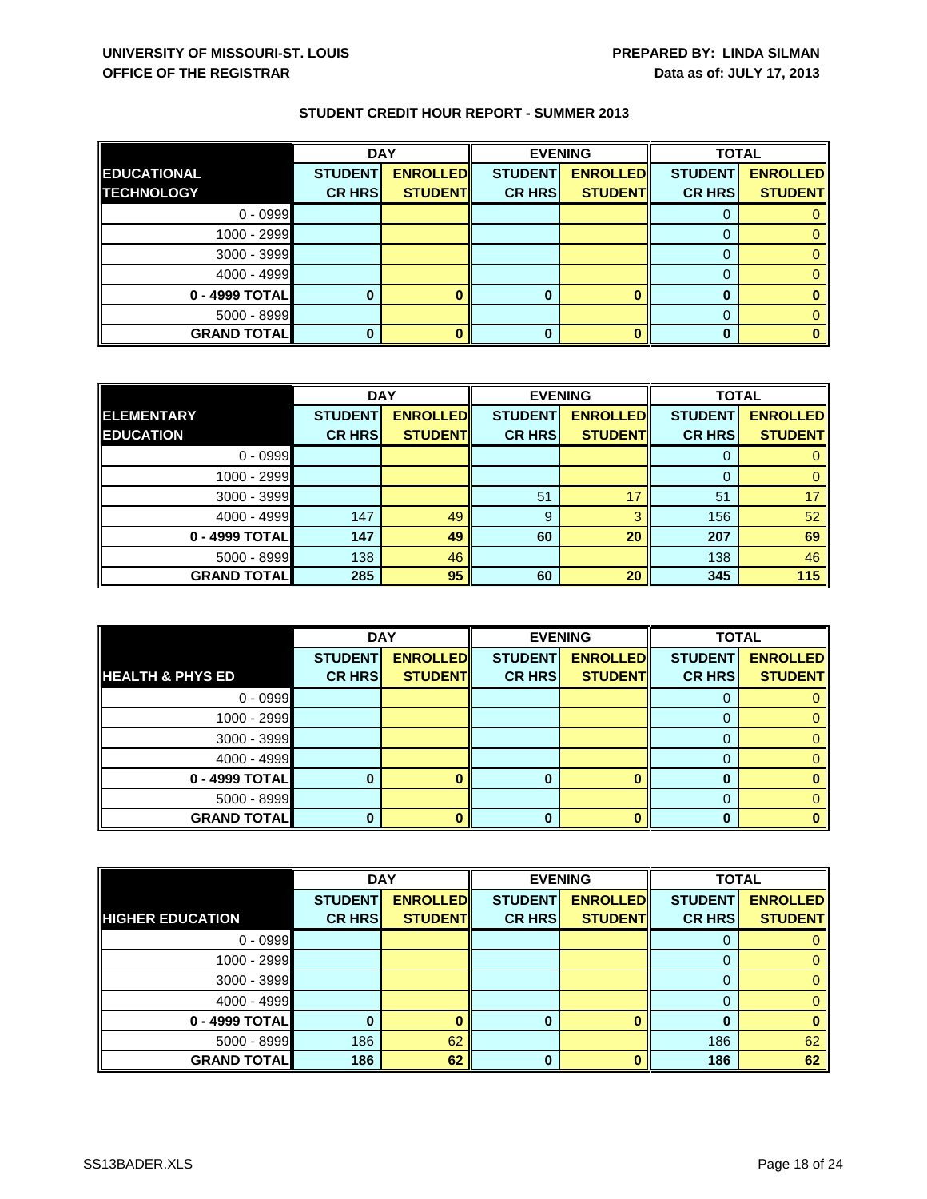|                    | <b>DAY</b>     |                 | <b>EVENING</b> |                 |                | <b>TOTAL</b>    |  |
|--------------------|----------------|-----------------|----------------|-----------------|----------------|-----------------|--|
| <b>EDUCATIONAL</b> | <b>STUDENT</b> | <b>ENROLLED</b> | <b>STUDENT</b> | <b>ENROLLED</b> | <b>STUDENT</b> | <b>ENROLLED</b> |  |
| <b>ITECHNOLOGY</b> | <b>CR HRS</b>  | <b>STUDENT</b>  | <b>CR HRS</b>  | <b>STUDENT</b>  | <b>CR HRS</b>  | <b>STUDENT</b>  |  |
| $0 - 0999$         |                |                 |                |                 |                |                 |  |
| 1000 - 2999        |                |                 |                |                 |                |                 |  |
| 3000 - 3999        |                |                 |                |                 |                |                 |  |
| $4000 - 4999$      |                |                 |                |                 |                |                 |  |
| 0 - 4999 TOTAL     |                |                 | 0              |                 |                |                 |  |
| $5000 - 8999$      |                |                 |                |                 |                |                 |  |
| <b>GRAND TOTAL</b> |                |                 |                |                 |                |                 |  |

|                    | <b>DAY</b>     |                 | <b>EVENING</b> |                 | <b>TOTAL</b>   |                 |
|--------------------|----------------|-----------------|----------------|-----------------|----------------|-----------------|
| <b>ELEMENTARY</b>  | <b>STUDENT</b> | <b>ENROLLED</b> | <b>STUDENT</b> | <b>ENROLLED</b> | <b>STUDENT</b> | <b>ENROLLED</b> |
| <b>EDUCATION</b>   | <b>CR HRS</b>  | <b>STUDENT</b>  | <b>CR HRS</b>  | <b>STUDENT</b>  | <b>CR HRS</b>  | <b>STUDENT</b>  |
| $0 - 0999$         |                |                 |                |                 |                |                 |
| $1000 - 2999$      |                |                 |                |                 | $\Omega$       |                 |
| $3000 - 3999$      |                |                 | 51             |                 | 51             | 17              |
| $4000 - 4999$      | 147            | 49              | 9              | о               | 156            | 52              |
| 0 - 4999 TOTAL     | 147            | 49              | 60             | 20              | 207            | 69              |
| $5000 - 8999$      | 138            | 46              |                |                 | 138            | 46              |
| <b>GRAND TOTAL</b> | 285            | 95              | 60             | 20              | 345            | 115             |

|                             | <b>DAY</b>     |                 | <b>EVENING</b> |                 | <b>TOTAL</b>   |                 |
|-----------------------------|----------------|-----------------|----------------|-----------------|----------------|-----------------|
|                             | <b>STUDENT</b> | <b>ENROLLED</b> | <b>STUDENT</b> | <b>ENROLLED</b> | <b>STUDENT</b> | <b>ENROLLED</b> |
| <b>HEALTH &amp; PHYS ED</b> | <b>CR HRS</b>  | <b>STUDENT</b>  | <b>CR HRS</b>  | <b>STUDENT</b>  | <b>CR HRS</b>  | <b>STUDENT</b>  |
| $0 - 0999$                  |                |                 |                |                 |                |                 |
| 1000 - 2999                 |                |                 |                |                 |                |                 |
| 3000 - 3999                 |                |                 |                |                 | 0              |                 |
| $4000 - 4999$               |                |                 |                |                 |                |                 |
| 0 - 4999 TOTAL              |                |                 | 0              |                 | O              |                 |
| 5000 - 8999                 |                |                 |                |                 |                |                 |
| <b>GRAND TOTAL  </b>        |                |                 | n              |                 | ŋ              |                 |

|                         | <b>DAY</b>     |                 |                | <b>EVENING</b>  | <b>TOTAL</b>   |                 |
|-------------------------|----------------|-----------------|----------------|-----------------|----------------|-----------------|
|                         | <b>STUDENT</b> | <b>ENROLLED</b> | <b>STUDENT</b> | <b>ENROLLED</b> | <b>STUDENT</b> | <b>ENROLLED</b> |
| <b>HIGHER EDUCATION</b> | <b>CR HRS</b>  | <b>STUDENT</b>  | <b>CR HRS</b>  | <b>STUDENT</b>  | <b>CR HRS</b>  | <b>STUDENT</b>  |
| $0 - 0999$              |                |                 |                |                 | $\Omega$       | 0               |
| $1000 - 2999$           |                |                 |                |                 |                |                 |
| $3000 - 3999$           |                |                 |                |                 |                | $\Omega$        |
| $4000 - 4999$           |                |                 |                |                 |                | 0               |
| 0 - 4999 TOTAL          |                |                 |                |                 |                |                 |
| $5000 - 8999$           | 186            | 62              |                |                 | 186            | 62              |
| <b>GRAND TOTAL</b>      | 186            | 62              | 0              |                 | 186            | 62              |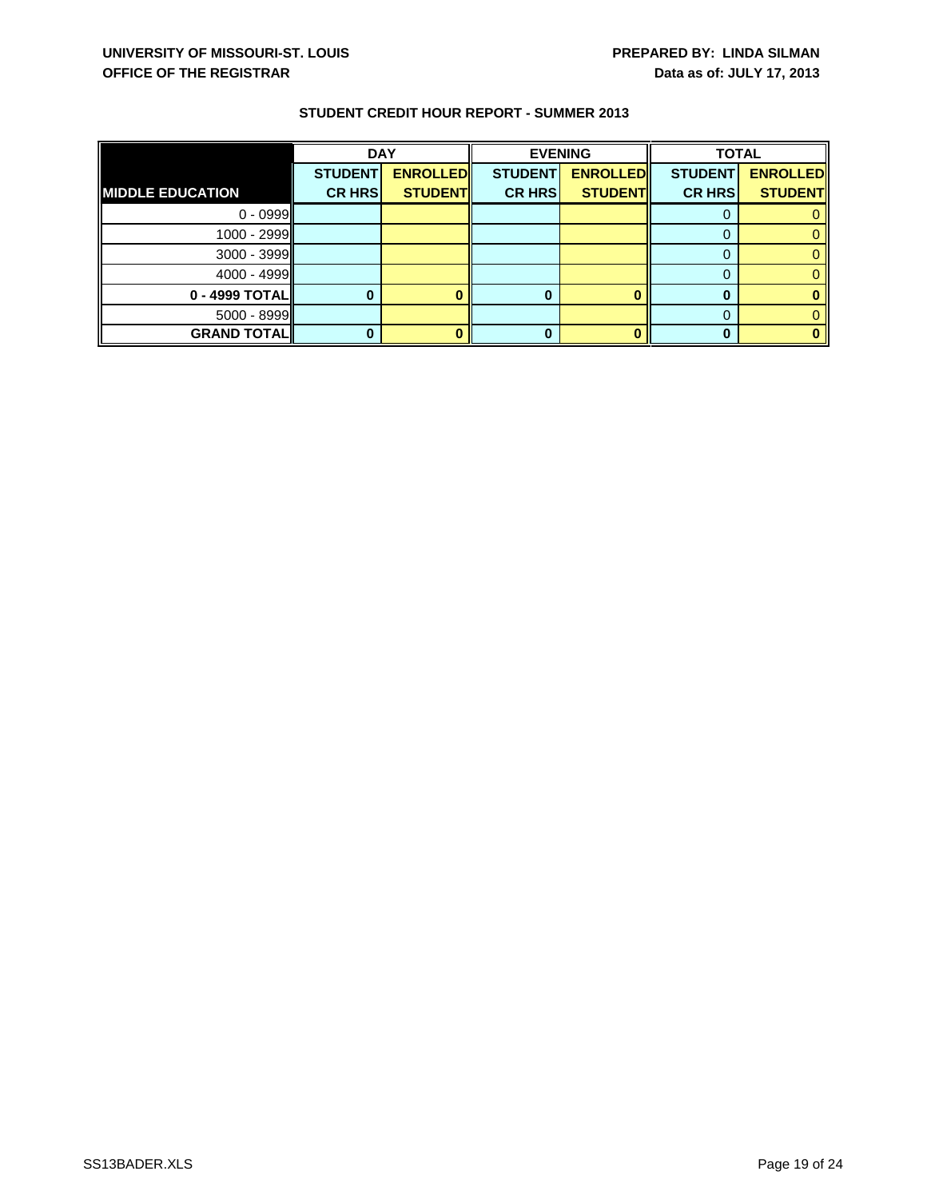|                         | <b>DAY</b>     |                 | <b>EVENING</b> |                 | <b>TOTAL</b>   |                 |
|-------------------------|----------------|-----------------|----------------|-----------------|----------------|-----------------|
|                         | <b>STUDENT</b> | <b>ENROLLED</b> | <b>STUDENT</b> | <b>ENROLLED</b> | <b>STUDENT</b> | <b>ENROLLED</b> |
| <b>MIDDLE EDUCATION</b> | <b>CR HRS</b>  | <b>STUDENT</b>  | <b>CR HRS</b>  | <b>STUDENT</b>  | <b>CR HRS</b>  | <b>STUDENT</b>  |
| $0 - 0999$              |                |                 |                |                 |                |                 |
| 1000 - 2999             |                |                 |                |                 |                |                 |
| $3000 - 3999$           |                |                 |                |                 |                |                 |
| $4000 - 4999$           |                |                 |                |                 |                |                 |
| $0 - 4999$ TOTAL        |                |                 |                |                 |                |                 |
| $5000 - 8999$           |                |                 |                |                 |                |                 |
| <b>GRAND TOTAL</b>      |                |                 |                |                 |                |                 |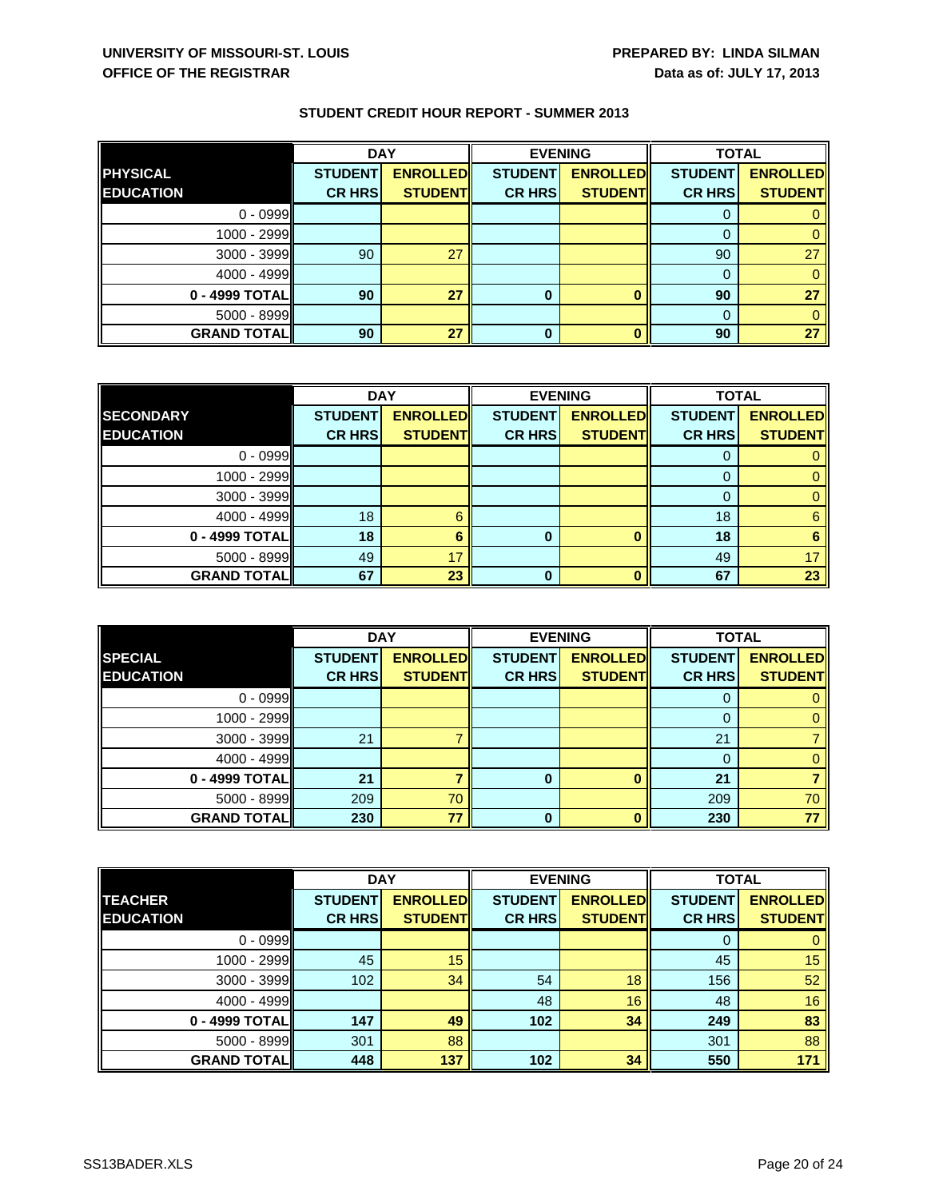|                      | <b>DAY</b>     |                 | <b>EVENING</b> |                 |                | <b>TOTAL</b>    |  |
|----------------------|----------------|-----------------|----------------|-----------------|----------------|-----------------|--|
| <b>PHYSICAL</b>      | <b>STUDENT</b> | <b>ENROLLED</b> | <b>STUDENT</b> | <b>ENROLLED</b> | <b>STUDENT</b> | <b>ENROLLED</b> |  |
| <b>EDUCATION</b>     | <b>CR HRS</b>  | <b>STUDENT</b>  | <b>CR HRS</b>  | <b>STUDENT</b>  | <b>CR HRS</b>  | <b>STUDENT</b>  |  |
| $0 - 0999$           |                |                 |                |                 | Ü              |                 |  |
| 1000 - 2999          |                |                 |                |                 |                |                 |  |
| 3000 - 3999          | 90             | 27              |                |                 | 90             | 27              |  |
| $4000 - 4999$        |                |                 |                |                 |                |                 |  |
| $0 - 4999$ TOTAL     | 90             | 27              | 0              |                 | 90             | 27              |  |
| $5000 - 8999$        |                |                 |                |                 | $\Omega$       |                 |  |
| <b>GRAND TOTAL  </b> | 90             | 27              | 0              |                 | 90             | 27              |  |

|                    | <b>DAY</b>     |                 | <b>EVENING</b> |                 | <b>TOTAL</b>   |                 |
|--------------------|----------------|-----------------|----------------|-----------------|----------------|-----------------|
| <b>SECONDARY</b>   | <b>STUDENT</b> | <b>ENROLLED</b> | <b>STUDENT</b> | <b>ENROLLED</b> | <b>STUDENT</b> | <b>ENROLLED</b> |
| <b>EDUCATION</b>   | <b>CR HRS</b>  | <b>STUDENT</b>  | <b>CR HRS</b>  | <b>STUDENT</b>  | <b>CR HRSI</b> | <b>STUDENT</b>  |
| $0 - 0999$         |                |                 |                |                 |                |                 |
| $1000 - 2999$      |                |                 |                |                 |                |                 |
| $3000 - 3999$      |                |                 |                |                 |                |                 |
| $4000 - 4999$      | 18             | ี่ค             |                |                 | 18             | 6               |
| 0 - 4999 TOTAL     | 18             |                 | 0              |                 | 18             |                 |
| $5000 - 8999$      | 49             | 17              |                |                 | 49             | 17              |
| <b>GRAND TOTAL</b> | 67             | 23              | 0              |                 | 67             | 23              |

|                    | <b>DAY</b>     |                 | <b>EVENING</b> |                 | <b>TOTAL</b>   |                 |
|--------------------|----------------|-----------------|----------------|-----------------|----------------|-----------------|
| <b>SPECIAL</b>     | <b>STUDENT</b> | <b>ENROLLED</b> | <b>STUDENT</b> | <b>ENROLLED</b> | <b>STUDENT</b> | <b>ENROLLED</b> |
| <b>EDUCATION</b>   | <b>CR HRS</b>  | <b>STUDENT</b>  | <b>CR HRS</b>  | <b>STUDENT</b>  | <b>CR HRS</b>  | <b>STUDENT</b>  |
| $0 - 0999$         |                |                 |                |                 | υ              |                 |
| 1000 - 2999        |                |                 |                |                 |                |                 |
| 3000 - 3999        | 21             |                 |                |                 | 21             |                 |
| $4000 - 4999$      |                |                 |                |                 |                |                 |
| 0 - 4999 TOTAL     | 21             |                 | 0              |                 | 21             |                 |
| 5000 - 8999        | 209            | 70              |                |                 | 209            | 70              |
| <b>GRAND TOTAL</b> | 230            | 77              | O              |                 | 230            | 77              |

|                     | <b>DAY</b>     |                 | <b>EVENING</b> |                 | <b>TOTAL</b>   |                 |
|---------------------|----------------|-----------------|----------------|-----------------|----------------|-----------------|
| <b>TEACHER</b>      | <b>STUDENT</b> | <b>ENROLLED</b> | <b>STUDENT</b> | <b>ENROLLED</b> | <b>STUDENT</b> | <b>ENROLLED</b> |
| <b>EDUCATION</b>    | <b>CR HRS</b>  | <b>STUDENT</b>  | <b>CR HRS</b>  | <b>STUDENTI</b> | <b>CR HRS</b>  | <b>STUDENT</b>  |
| $0 - 0999$          |                |                 |                |                 | 0              | 0               |
| $1000 - 2999$       | 45             | 15              |                |                 | 45             | 15              |
| $3000 - 3999$       | 102            | 34              | 54             | 18              | 156            | 52              |
| $4000 - 4999$       |                |                 | 48             | 16              | 48             | 16              |
| 0 - 4999 TOTALI     | 147            | 49              | 102            | 34              | 249            | 83              |
| $5000 - 8999$       | 301            | 88              |                |                 | 301            | 88              |
| <b>GRAND TOTALI</b> | 448            | 137             | 102            | 34              | 550            | 171             |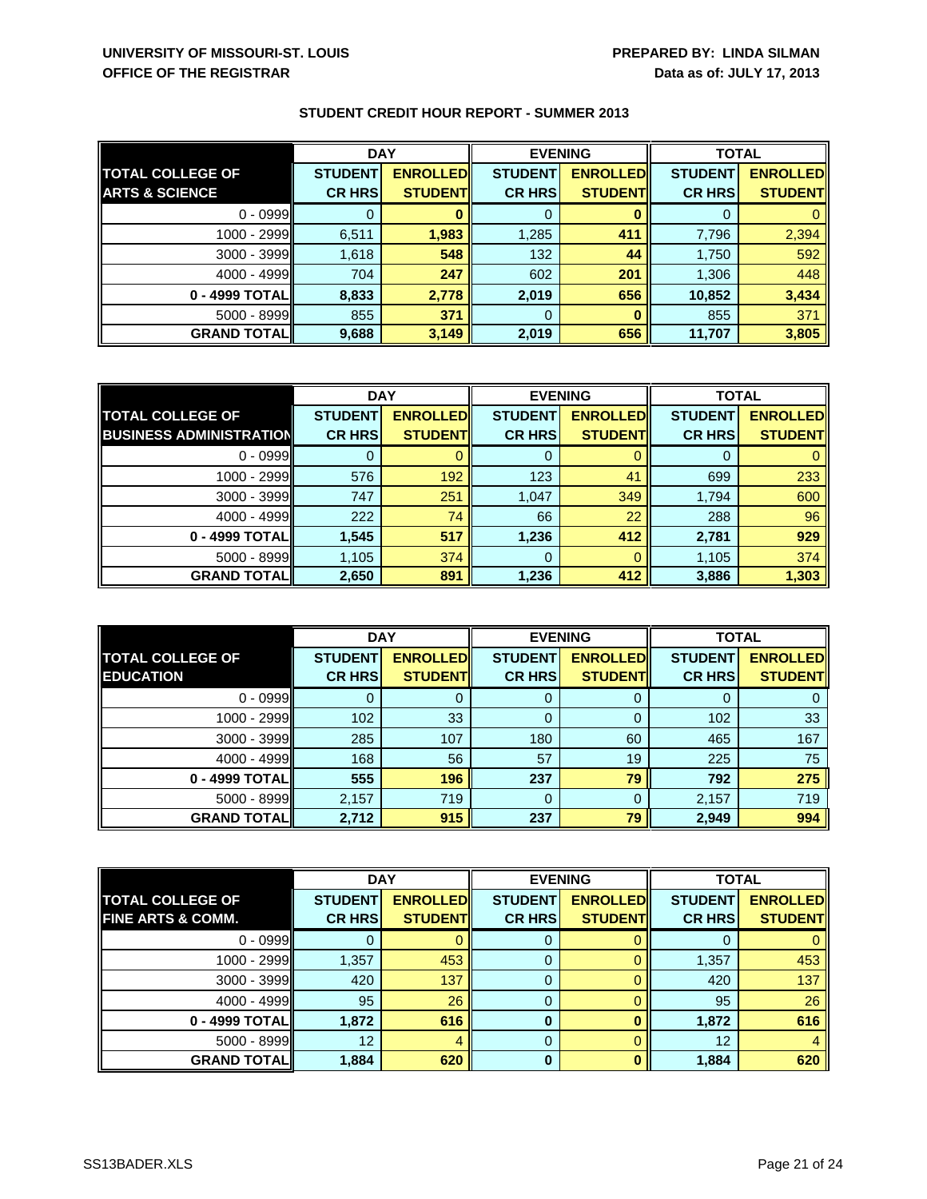|                           | <b>DAY</b>     |                 | <b>EVENING</b> |                 | <b>TOTAL</b>   |                 |
|---------------------------|----------------|-----------------|----------------|-----------------|----------------|-----------------|
| <b>TOTAL COLLEGE OF</b>   | <b>STUDENT</b> | <b>ENROLLED</b> | <b>STUDENT</b> | <b>ENROLLED</b> | <b>STUDENT</b> | <b>ENROLLED</b> |
| <b>ARTS &amp; SCIENCE</b> | <b>CR HRS</b>  | <b>STUDENT</b>  | <b>CR HRS</b>  | <b>STUDENT</b>  | <b>CR HRS</b>  | <b>STUDENT</b>  |
| $0 - 0999$                |                |                 | 0              |                 |                |                 |
| 1000 - 2999               | 6,511          | 1,983           | 1,285          | 411             | 7,796          | 2,394           |
| $3000 - 3999$             | 1,618          | 548             | 132            | 44              | 1,750          | 592             |
| 4000 - 4999               | 704            | 247             | 602            | 201             | 1,306          | 448             |
| 0 - 4999 TOTALI           | 8,833          | 2,778           | 2,019          | 656             | 10,852         | 3,434           |
| $5000 - 8999$             | 855            | 371             | 0              |                 | 855            | 371             |
| <b>GRAND TOTALI</b>       | 9,688          | 3,149           | 2,019          | 656             | 11,707         | 3,805           |

|                                | <b>DAY</b>     |                 | <b>EVENING</b> |                 | <b>TOTAL</b>   |                 |
|--------------------------------|----------------|-----------------|----------------|-----------------|----------------|-----------------|
| <b>TOTAL COLLEGE OF</b>        | <b>STUDENT</b> | <b>ENROLLED</b> | <b>STUDENT</b> | <b>ENROLLED</b> | <b>STUDENT</b> | <b>ENROLLED</b> |
| <b>BUSINESS ADMINISTRATION</b> | <b>CR HRS</b>  | <b>STUDENT</b>  | <b>CR HRS</b>  | <b>STUDENT</b>  | <b>CR HRS</b>  | <b>STUDENT</b>  |
| $0 - 0999$                     |                |                 | 0              |                 |                |                 |
| $1000 - 2999$                  | 576            | 192             | 123            | 41              | 699            | 233             |
| $3000 - 3999$                  | 747            | 251             | 1,047          | 349             | 1,794          | 600             |
| $4000 - 4999$                  | 222            | 74              | 66             | 22              | 288            | 96              |
| 0 - 4999 TOTAL                 | 1,545          | 517             | 1,236          | 412             | 2,781          | 929             |
| $5000 - 8999$                  | 1,105          | 374             | 0              |                 | 1,105          | 374             |
| <b>GRAND TOTALI</b>            | 2,650          | 891             | 1,236          | 412             | 3,886          | 1,303           |

|                         | <b>DAY</b>     |                  | <b>EVENING</b> |                 | <b>TOTAL</b>   |                 |
|-------------------------|----------------|------------------|----------------|-----------------|----------------|-----------------|
| <b>TOTAL COLLEGE OF</b> | <b>STUDENT</b> | <b>ENROLLEDI</b> | <b>STUDENT</b> | <b>ENROLLED</b> | <b>STUDENT</b> | <b>ENROLLED</b> |
| <b>EDUCATION</b>        | <b>CR HRS</b>  | <b>STUDENT</b>   | <b>CR HRS</b>  | <b>STUDENT</b>  | <b>CR HRS</b>  | <b>STUDENT</b>  |
| $0 - 0999$              |                |                  | υ              |                 |                |                 |
| $1000 - 2999$           | 102            | 33               | 0              |                 | 102            | 33              |
| $3000 - 3999$           | 285            | 107              | 180            | 60              | 465            | 167             |
| $4000 - 4999$           | 168            | 56               | 57             | 19              | 225            | 75              |
| 0 - 4999 TOTAL          | 555            | 196              | 237            | 79              | 792            | 275             |
| $5000 - 8999$           | 2,157          | 719              | 0              |                 | 2,157          | 719             |
| <b>GRAND TOTAL</b>      | 2,712          | 915              | 237            | 79              | 2,949          | 994             |

|                              | <b>DAY</b>     |                 | <b>EVENING</b> |                 | <b>TOTAL</b>   |                 |
|------------------------------|----------------|-----------------|----------------|-----------------|----------------|-----------------|
| <b>TOTAL COLLEGE OF</b>      | <b>STUDENT</b> | <b>ENROLLED</b> | <b>STUDENT</b> | <b>ENROLLED</b> | <b>STUDENT</b> | <b>ENROLLED</b> |
| <b>FINE ARTS &amp; COMM.</b> | <b>CR HRS</b>  | <b>STUDENTI</b> | <b>CR HRSI</b> | <b>STUDENT</b>  | <b>CR HRS</b>  | <b>STUDENT</b>  |
| $0 - 0999$                   |                |                 | Ü              |                 |                |                 |
| 1000 - 2999                  | 1,357          | 453             | 0              |                 | 1,357          | 453             |
| $3000 - 3999$                | 420            | 137             | 0              |                 | 420            | 137             |
| $4000 - 4999$                | 95             | 26              | 0              |                 | 95             | 26              |
| 0 - 4999 TOTAL               | 1,872          | 616             | 0              |                 | 1,872          | 616             |
| $5000 - 8999$                | 12             |                 | 0              |                 | 12             |                 |
| <b>GRAND TOTALI</b>          | 1,884          | 620             | $\bf{0}$       |                 | 1,884          | 620             |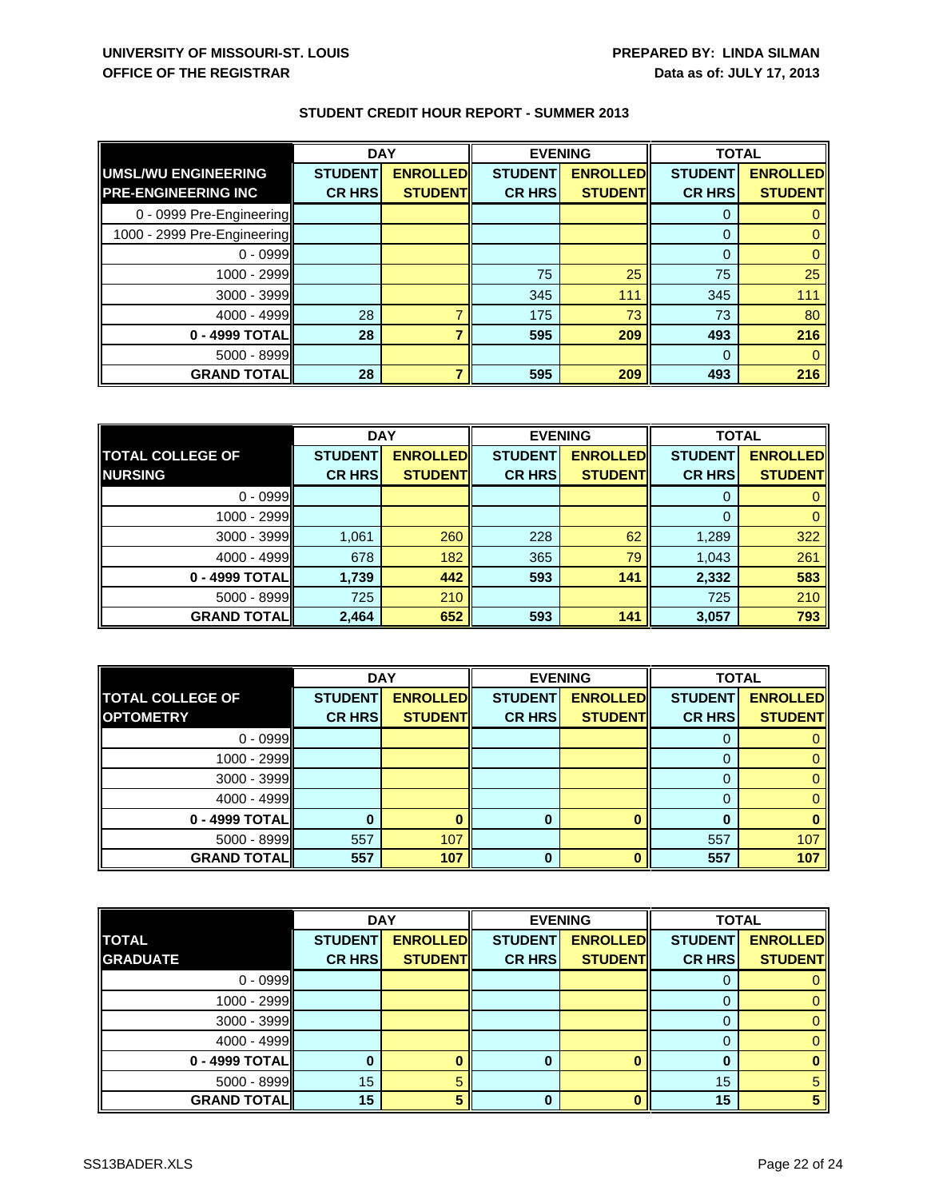|                             | <b>DAY</b>     |                 | <b>EVENING</b> |                 | <b>TOTAL</b>   |                 |
|-----------------------------|----------------|-----------------|----------------|-----------------|----------------|-----------------|
| <b>UMSL/WU ENGINEERING</b>  | <b>STUDENT</b> | <b>ENROLLED</b> | <b>STUDENT</b> | <b>ENROLLED</b> | <b>STUDENT</b> | <b>ENROLLED</b> |
| <b>PRE-ENGINEERING INC</b>  | <b>CR HRS</b>  | <b>STUDENT</b>  | <b>CR HRS</b>  | <b>STUDENT</b>  | <b>CR HRS</b>  | <b>STUDENT</b>  |
| 0 - 0999 Pre-Engineering    |                |                 |                |                 |                |                 |
| 1000 - 2999 Pre-Engineering |                |                 |                |                 | $\Omega$       |                 |
| $0 - 0999$                  |                |                 |                |                 | $\Omega$       |                 |
| 1000 - 2999                 |                |                 | 75             | 25              | 75             | 25              |
| $3000 - 3999$               |                |                 | 345            | 111             | 345            | 111             |
| $4000 - 4999$               | 28             |                 | 175            | 73              | 73             | 80              |
| 0 - 4999 TOTAL              | 28             |                 | 595            | 209             | 493            | 216             |
| $5000 - 8999$               |                |                 |                |                 | 0              |                 |
| <b>GRAND TOTALI</b>         | 28             |                 | 595            | 209             | 493            | 216             |

|                         | <b>DAY</b>     |                 | <b>EVENING</b> |                 | <b>TOTAL</b>   |                 |
|-------------------------|----------------|-----------------|----------------|-----------------|----------------|-----------------|
| <b>TOTAL COLLEGE OF</b> | <b>STUDENT</b> | <b>ENROLLED</b> | <b>STUDENT</b> | <b>ENROLLED</b> | <b>STUDENT</b> | <b>ENROLLED</b> |
| <b>NURSING</b>          | <b>CR HRS</b>  | <b>STUDENT</b>  | <b>CR HRS</b>  | <b>STUDENTI</b> | <b>CR HRS</b>  | <b>STUDENT</b>  |
| $0 - 0999$              |                |                 |                |                 |                |                 |
| 1000 - 2999             |                |                 |                |                 |                |                 |
| 3000 - 3999             | 1,061          | 260             | 228            | 62              | 1,289          | 322             |
| 4000 - 4999             | 678            | 182             | 365            | 79              | 1,043          | 261             |
| 0 - 4999 TOTAL          | 1,739          | 442             | 593            | 141             | 2,332          | 583             |
| 5000 - 8999             | 725            | 210             |                |                 | 725            | 210             |
| <b>GRAND TOTAL</b>      | 2,464          | 652             | 593            | 141             | 3,057          | 793             |

|                         | <b>DAY</b>     |                 | <b>EVENING</b> |                 | <b>TOTAL</b>   |                 |
|-------------------------|----------------|-----------------|----------------|-----------------|----------------|-----------------|
| <b>TOTAL COLLEGE OF</b> | <b>STUDENT</b> | <b>ENROLLED</b> | <b>STUDENT</b> | <b>ENROLLED</b> | <b>STUDENT</b> | <b>ENROLLED</b> |
| <b>OPTOMETRY</b>        | <b>CR HRS</b>  | <b>STUDENT</b>  | <b>CR HRS</b>  | <b>STUDENT</b>  | <b>CR HRS</b>  | <b>STUDENT</b>  |
| $0 - 0999$              |                |                 |                |                 | O              |                 |
| 1000 - 2999             |                |                 |                |                 |                |                 |
| 3000 - 3999             |                |                 |                |                 |                |                 |
| 4000 - 4999             |                |                 |                |                 |                |                 |
| $0 - 4999$ TOTAL        |                |                 | 0              |                 | n              |                 |
| 5000 - 8999             | 557            | 107             |                |                 | 557            | 107             |
| <b>GRAND TOTAL  </b>    | 557            | 107             | 0              |                 | 557            | 107             |

|                    | <b>DAY</b>     |                 | <b>EVENING</b> |                 | <b>TOTAL</b>   |                 |
|--------------------|----------------|-----------------|----------------|-----------------|----------------|-----------------|
| <b>TOTAL</b>       | <b>STUDENT</b> | <b>ENROLLED</b> | <b>STUDENT</b> | <b>ENROLLED</b> | <b>STUDENT</b> | <b>ENROLLED</b> |
| <b>GRADUATE</b>    | <b>CR HRS</b>  | <b>STUDENT</b>  | <b>CR HRS</b>  | <b>STUDENT</b>  | <b>CR HRSI</b> | <b>STUDENT</b>  |
| $0 - 0999$         |                |                 |                |                 |                |                 |
| 1000 - 2999        |                |                 |                |                 |                | 0               |
| 3000 - 3999        |                |                 |                |                 | $\Omega$       | 0               |
| 4000 - 4999        |                |                 |                |                 |                | 0               |
| 0 - 4999 TOTAL     |                |                 | 0              |                 | $\Omega$       | 0               |
| 5000 - 8999        | 15             | 5               |                |                 | 15             | 5               |
| <b>GRAND TOTAL</b> | 15             |                 | ŋ              |                 | 15             |                 |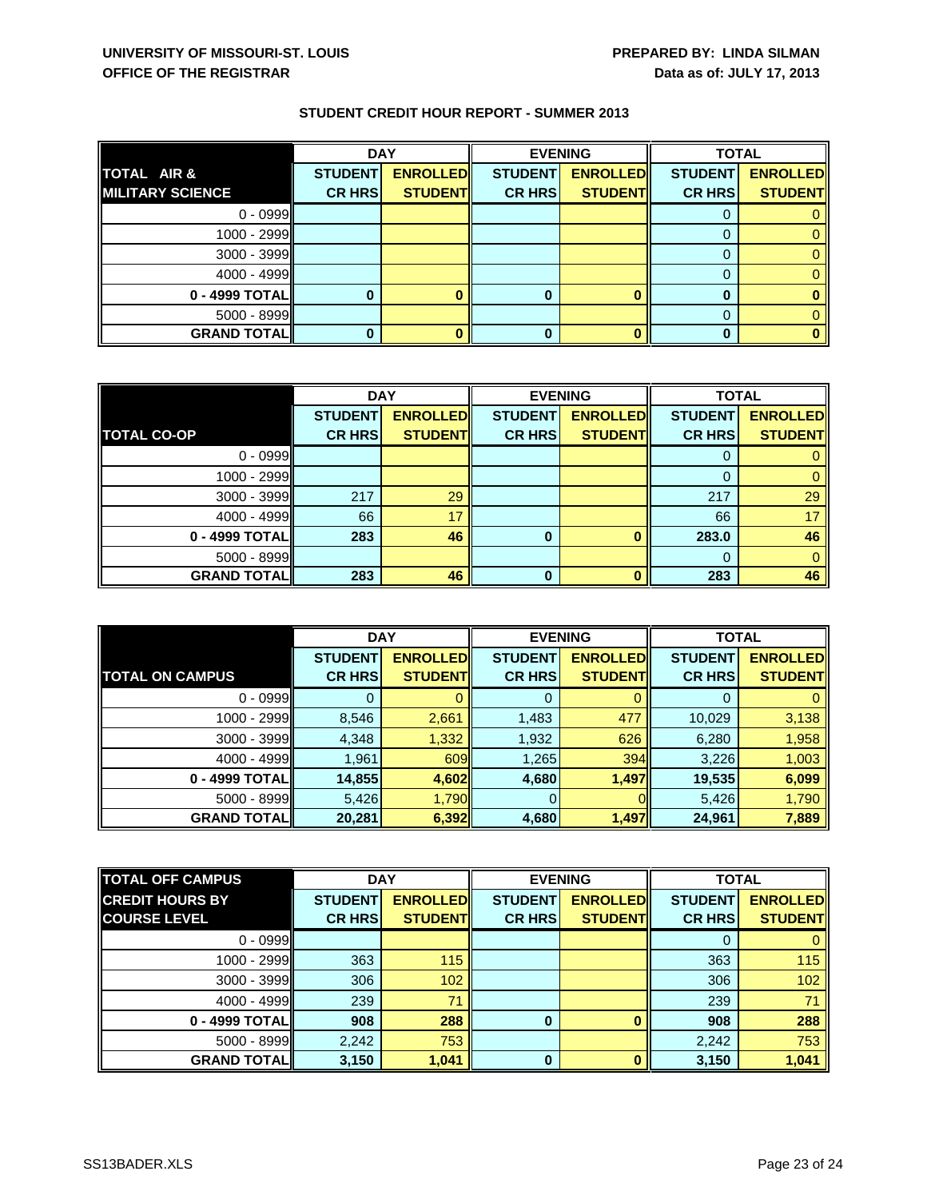|                         | <b>DAY</b>     |                 | <b>EVENING</b> |                 | <b>TOTAL</b>   |                 |
|-------------------------|----------------|-----------------|----------------|-----------------|----------------|-----------------|
| TOTAL AIR &             | <b>STUDENT</b> | <b>ENROLLED</b> | <b>STUDENT</b> | <b>ENROLLED</b> | <b>STUDENT</b> | <b>ENROLLED</b> |
| <b>MILITARY SCIENCE</b> | <b>CR HRS</b>  | <b>STUDENT</b>  | <b>CR HRS</b>  | <b>STUDENT</b>  | <b>CR HRS</b>  | <b>STUDENT</b>  |
| $0 - 0999$              |                |                 |                |                 |                |                 |
| 1000 - 2999             |                |                 |                |                 |                |                 |
| $3000 - 3999$           |                |                 |                |                 |                |                 |
| $4000 - 4999$           |                |                 |                |                 |                |                 |
| 0 - 4999 TOTAL          |                |                 | 0              |                 |                |                 |
| $5000 - 8999$           |                |                 |                |                 |                |                 |
| <b>GRAND TOTAL</b>      |                |                 |                |                 |                |                 |

|                     | <b>DAY</b>     |                 | <b>EVENING</b> |                 | <b>TOTAL</b>   |                 |
|---------------------|----------------|-----------------|----------------|-----------------|----------------|-----------------|
|                     | <b>STUDENT</b> | <b>ENROLLED</b> | <b>STUDENT</b> | <b>ENROLLED</b> | <b>STUDENT</b> | <b>ENROLLED</b> |
| <b>TOTAL CO-OP</b>  | <b>CR HRS</b>  | <b>STUDENT</b>  | <b>CR HRS</b>  | <b>STUDENT</b>  | <b>CR HRS</b>  | <b>STUDENT</b>  |
| $0 - 0999$          |                |                 |                |                 |                |                 |
| $1000 - 2999$       |                |                 |                |                 |                |                 |
| $3000 - 3999$       | 217            | 29              |                |                 | 217            | 29              |
| $4000 - 4999$       | 66             | 17              |                |                 | 66             | 17              |
| 0 - 4999 TOTAL      | 283            | 46              | 0              |                 | 283.0          | 46              |
| 5000 - 8999         |                |                 |                |                 | 0              | 0               |
| <b>GRAND TOTALI</b> | 283            | 46              | $\bf{0}$       |                 | 283            | 46              |

|                        | <b>DAY</b>     |                  | <b>EVENING</b> |                 | <b>TOTAL</b>   |                 |
|------------------------|----------------|------------------|----------------|-----------------|----------------|-----------------|
|                        | <b>STUDENT</b> | <b>ENROLLEDI</b> | <b>STUDENT</b> | <b>ENROLLED</b> | <b>STUDENT</b> | <b>ENROLLED</b> |
| <b>TOTAL ON CAMPUS</b> | <b>CR HRS</b>  | <b>STUDENT</b>   | <b>CR HRS</b>  | <b>STUDENTI</b> | <b>CR HRS</b>  | <b>STUDENT</b>  |
| $0 - 0999$             |                |                  | 0              |                 |                | 0               |
| $1000 - 2999$          | 8,546          | 2,661            | 1,483          | 477             | 10,029         | 3,138           |
| $3000 - 3999$          | 4,348          | 1,332            | 1,932          | 626             | 6,280          | 1,958           |
| $4000 - 4999$          | 1,961          | 609              | 1,265          | 394             | 3,226          | 1,003           |
| $0 - 4999$ TOTAL       | 14,855         | 4,602            | 4,680          | 1,497           | 19,535         | 6,099           |
| $5000 - 8999$          | 5,426          | 1,790            |                |                 | 5,426          | 1,790           |
| <b>GRAND TOTAL</b>     | 20,281         | 6,392            | 4,680          | 1,497           | 24,961         | 7,889           |

| <b>TOTAL OFF CAMPUS</b> | <b>DAY</b>     |                  | <b>EVENING</b> |                 | <b>TOTAL</b>   |                 |
|-------------------------|----------------|------------------|----------------|-----------------|----------------|-----------------|
| <b>CREDIT HOURS BY</b>  | <b>STUDENT</b> | <b>ENROLLEDI</b> | <b>STUDENT</b> | <b>ENROLLED</b> | <b>STUDENT</b> | <b>ENROLLED</b> |
| <b>COURSE LEVEL</b>     | <b>CR HRS</b>  | <b>STUDENT</b>   | <b>CR HRS</b>  | <b>STUDENTI</b> | <b>CR HRS</b>  | <b>STUDENT</b>  |
| $0 - 0999$              |                |                  |                |                 | 0              | 0               |
| 1000 - 2999             | 363            | 115              |                |                 | 363            | 115             |
| $3000 - 3999$           | 306            | 102              |                |                 | 306            | 102             |
| $4000 - 4999$           | 239            | 71               |                |                 | 239            | 71              |
| 0 - 4999 TOTALI         | 908            | 288              | 0              |                 | 908            | 288             |
| $5000 - 8999$           | 2,242          | 753              |                |                 | 2,242          | 753             |
| <b>GRAND TOTALII</b>    | 3,150          | 1,041            | 0              |                 | 3,150          | 1,041           |